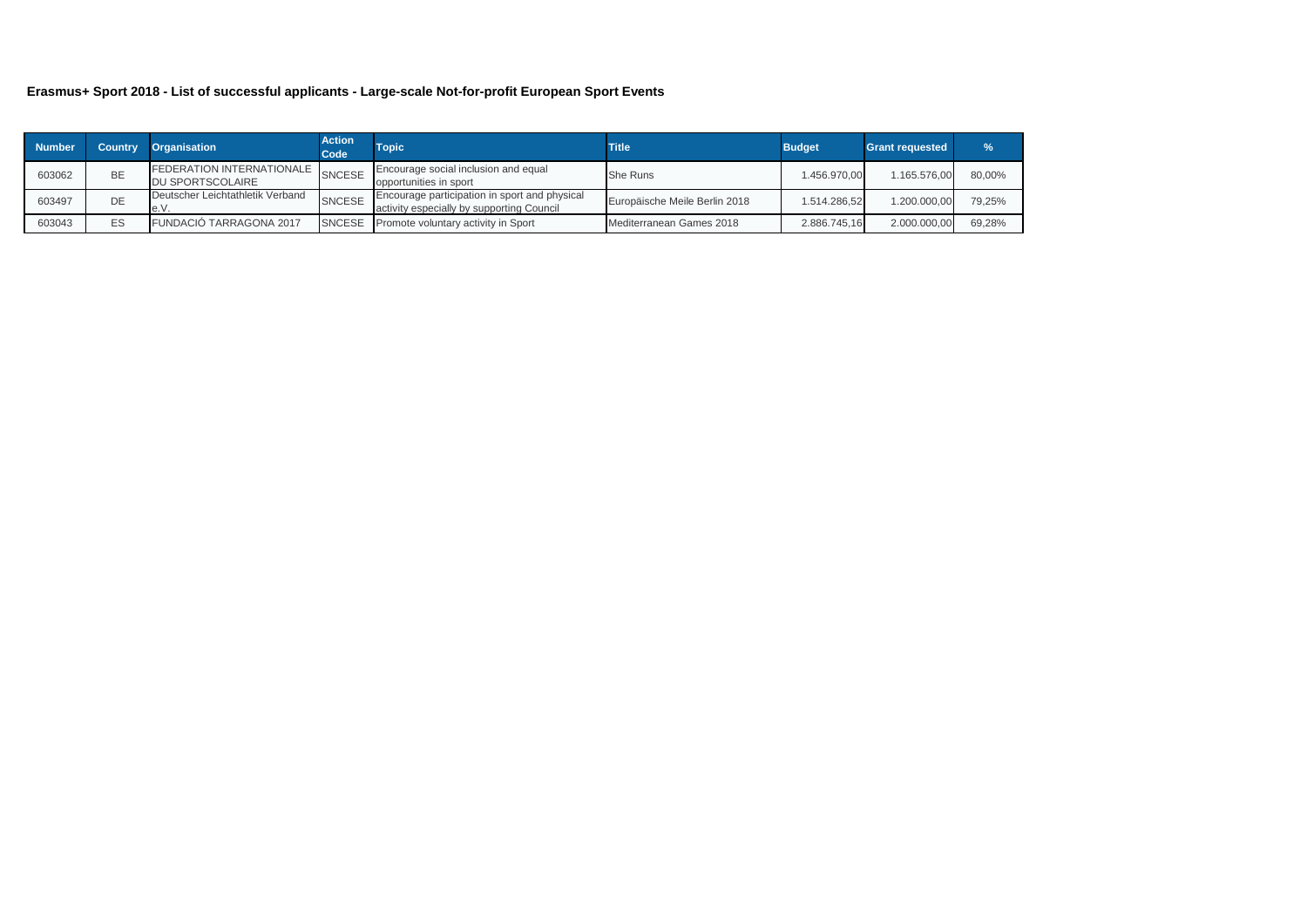### **Erasmus+ Sport 2018 - List of successful applicants - Large-scale Not-for-profit European Sport Events**

| <b>Number</b> | Country | <b>Organisation</b>                                  | <b>Action</b><br>Code | <b>Topic</b>                                                                               | <b>Title</b>                  | <b>Budget</b> | <b>Grant requested</b> | $\frac{9}{6}$ |
|---------------|---------|------------------------------------------------------|-----------------------|--------------------------------------------------------------------------------------------|-------------------------------|---------------|------------------------|---------------|
| 603062        | BE      | <b>FEDERATION INTERNATIONALE</b><br>DU SPORTSCOLAIRE | <b>SNCESE</b>         | Encourage social inclusion and equal<br>opportunities in sport                             | <b>She Runs</b>               | 1.456.970.00  | 1.165.576.00           | 80,00%        |
| 603497        | DE      | Deutscher Leichtathletik Verband<br>e.V.             | <b>SNCESE</b>         | Encourage participation in sport and physical<br>activity especially by supporting Council | Europäische Meile Berlin 2018 | 1.514.286.52  | 1.200.000.00           | 79.25%        |
| 603043        | ES      | <b>FUNDACIÓ TARRAGONA 2017</b>                       | <b>SNCESE</b>         | Promote voluntary activity in Sport                                                        | Mediterranean Games 2018      | 2.886.745.16  | 2.000.000,00           | 69,28%        |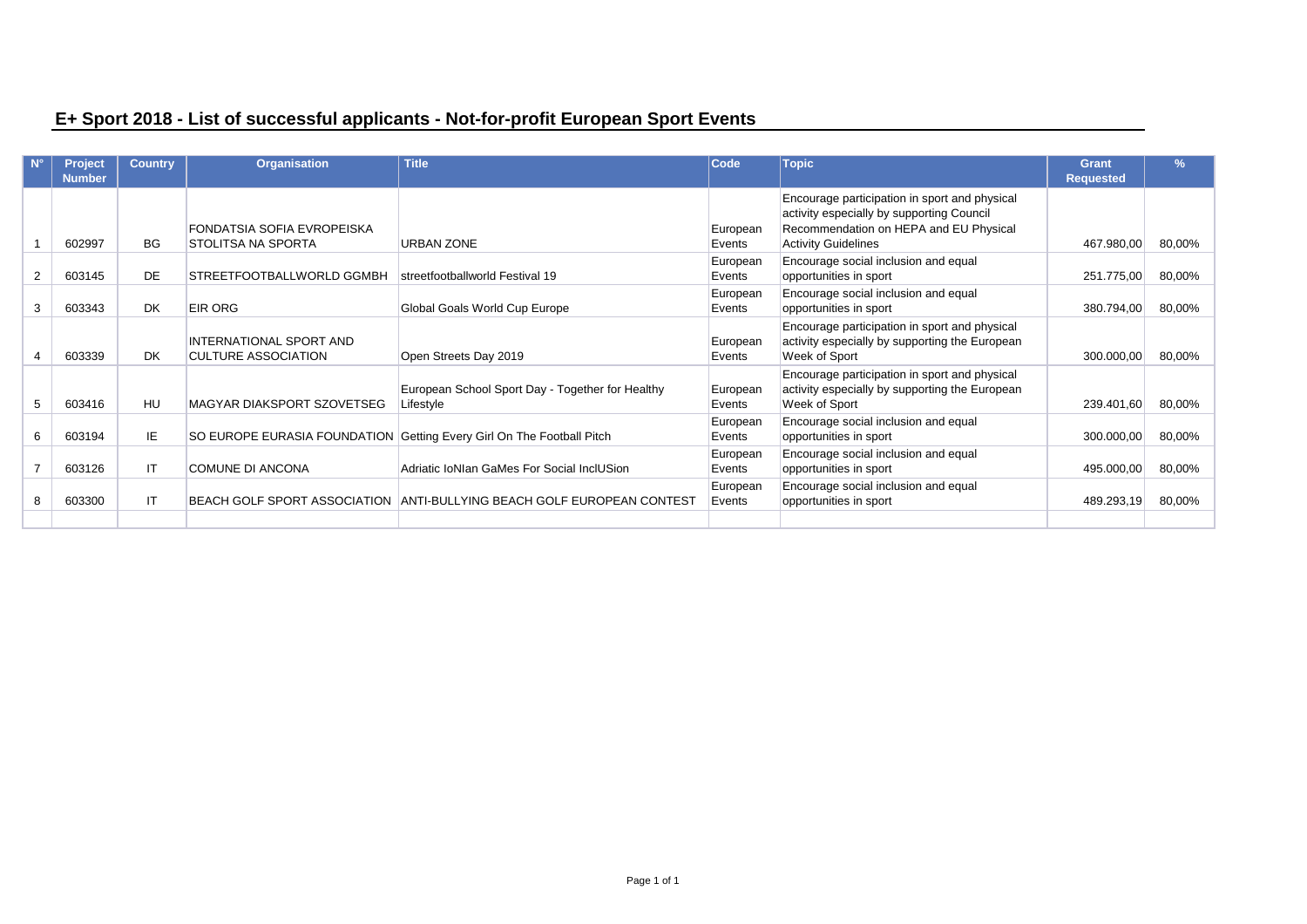|   | <b>Project</b> | <b>Country</b> | <b>Organisation</b>                 | <b>Title</b>                                                          | <b>Code</b> | <b>Topic</b>                                   | <b>Grant</b>     | $\frac{9}{6}$ |
|---|----------------|----------------|-------------------------------------|-----------------------------------------------------------------------|-------------|------------------------------------------------|------------------|---------------|
|   | <b>Number</b>  |                |                                     |                                                                       |             |                                                | <b>Requested</b> |               |
|   |                |                |                                     |                                                                       |             | Encourage participation in sport and physical  |                  |               |
|   |                |                |                                     |                                                                       |             | activity especially by supporting Council      |                  |               |
|   |                |                | FONDATSIA SOFIA EVROPEISKA          |                                                                       | European    | Recommendation on HEPA and EU Physical         |                  |               |
|   | 602997         | <b>BG</b>      | <b>STOLITSA NA SPORTA</b>           | <b>URBAN ZONE</b>                                                     | Events      | <b>Activity Guidelines</b>                     | 467.980,00       | 80,00%        |
|   |                |                |                                     |                                                                       | European    | Encourage social inclusion and equal           |                  |               |
|   | 603145         | <b>DE</b>      | STREETFOOTBALLWORLD GGMBH           | streetfootballworld Festival 19                                       | Events      | opportunities in sport                         | 251.775,00       | 80,00%        |
|   |                |                |                                     |                                                                       | European    | Encourage social inclusion and equal           |                  |               |
| 3 | 603343         | <b>DK</b>      | <b>EIR ORG</b>                      | Global Goals World Cup Europe                                         | Events      | opportunities in sport                         | 380.794,00       | 80,00%        |
|   |                |                |                                     |                                                                       |             | Encourage participation in sport and physical  |                  |               |
|   |                |                | INTERNATIONAL SPORT AND             |                                                                       | European    | activity especially by supporting the European |                  |               |
|   | 603339         | <b>DK</b>      | <b>CULTURE ASSOCIATION</b>          | Open Streets Day 2019                                                 | Events      | Week of Sport                                  | 300.000,00       | 80,00%        |
|   |                |                |                                     |                                                                       |             | Encourage participation in sport and physical  |                  |               |
|   |                |                |                                     | European School Sport Day - Together for Healthy                      | European    | activity especially by supporting the European |                  |               |
|   | 603416         | HU             | <b>MAGYAR DIAKSPORT SZOVETSEG</b>   | Lifestyle                                                             | Events      | Week of Sport                                  | 239.401,60       | 80,00%        |
|   |                |                |                                     |                                                                       | European    | Encourage social inclusion and equal           |                  |               |
|   | 603194         | IE             |                                     | SO EUROPE EURASIA FOUNDATION Getting Every Girl On The Football Pitch | Events      | opportunities in sport                         | 300.000,00       | 80,00%        |
|   |                |                |                                     |                                                                       | European    | Encourage social inclusion and equal           |                  |               |
|   | 603126         | IT.            | <b>COMUNE DI ANCONA</b>             | Adriatic IoNIan GaMes For Social InclUSion                            | Events      | opportunities in sport                         | 495.000,00       | 80,00%        |
|   |                |                |                                     |                                                                       | European    | Encourage social inclusion and equal           |                  |               |
|   | 603300         | IT.            | <b>BEACH GOLF SPORT ASSOCIATION</b> | ANTI-BULLYING BEACH GOLF EUROPEAN CONTEST                             | Events      | opportunities in sport                         | 489.293,19       | 80,00%        |
|   |                |                |                                     |                                                                       |             |                                                |                  |               |

# **E+ Sport 2018 - List of successful applicants - Not-for-profit European Sport Events**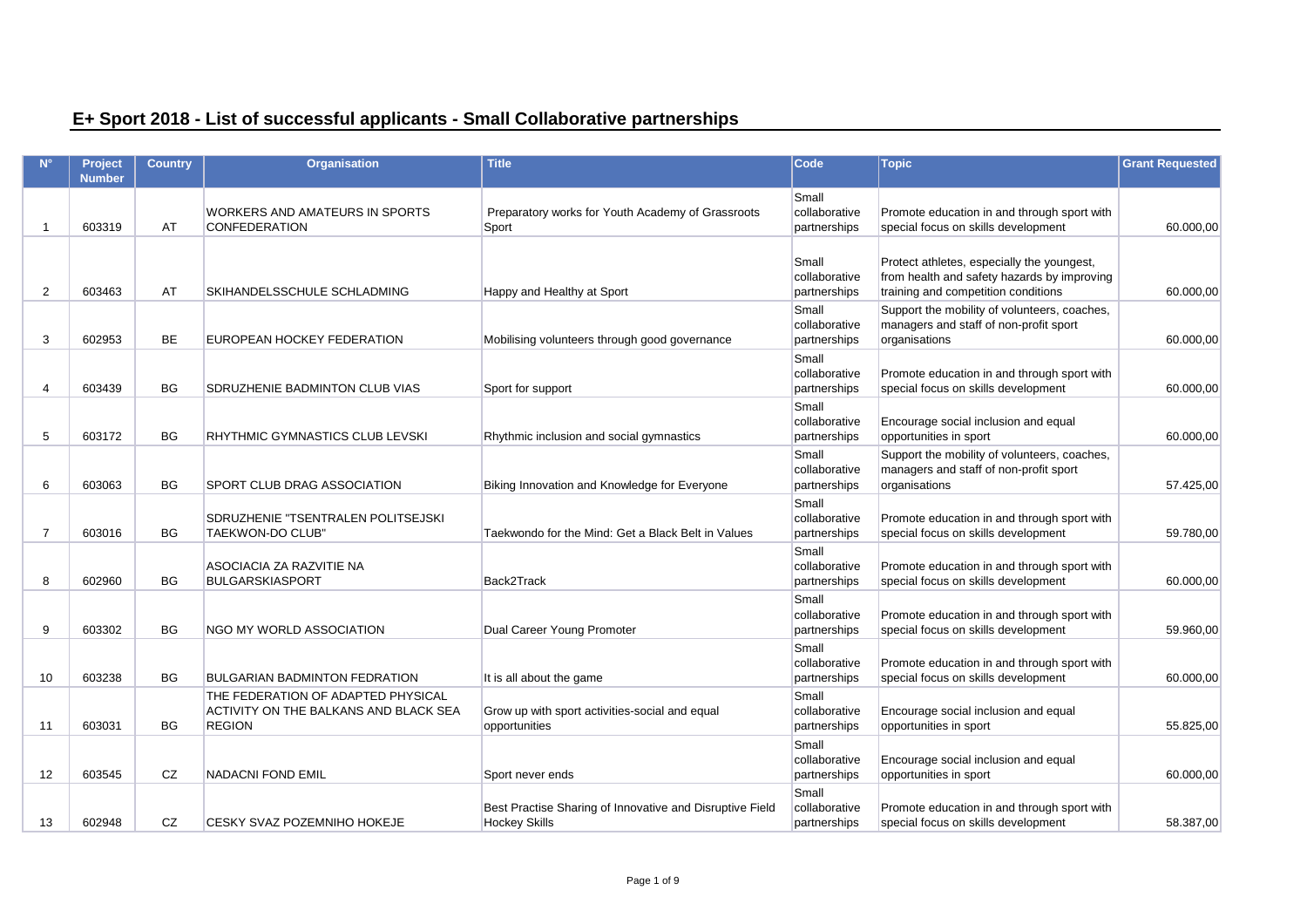## **E+ Sport 2018 - List of successful applicants - Small Collaborative partnerships**

|                | Project<br><b>Number</b> | <b>Country</b> | Organisation                                                                                 | <b>Title</b>                                                                     | <b>Code</b>                            | <b>Topic</b>                                                                                                                     | <b>Grant Requested</b> |
|----------------|--------------------------|----------------|----------------------------------------------------------------------------------------------|----------------------------------------------------------------------------------|----------------------------------------|----------------------------------------------------------------------------------------------------------------------------------|------------------------|
| -1             | 603319                   | AT             | <b>WORKERS AND AMATEURS IN SPORTS</b><br><b>CONFEDERATION</b>                                | Preparatory works for Youth Academy of Grassroots<br>Sport                       | Small<br>collaborative<br>partnerships | Promote education in and through sport with<br>special focus on skills development                                               | 60.000,00              |
| 2              | 603463                   | AT             | SKIHANDELSSCHULE SCHLADMING                                                                  | Happy and Healthy at Sport                                                       | Small<br>collaborative<br>partnerships | Protect athletes, especially the youngest,<br>from health and safety hazards by improving<br>training and competition conditions | 60.000,00              |
| 3              | 602953                   | <b>BE</b>      | EUROPEAN HOCKEY FEDERATION                                                                   | Mobilising volunteers through good governance                                    | Small<br>collaborative<br>partnerships | Support the mobility of volunteers, coaches,<br>managers and staff of non-profit sport<br>organisations                          | 60.000,00              |
| $\overline{4}$ | 603439                   | <b>BG</b>      | SDRUZHENIE BADMINTON CLUB VIAS                                                               | Sport for support                                                                | Small<br>collaborative<br>partnerships | Promote education in and through sport with<br>special focus on skills development                                               | 60.000,00              |
| 5              | 603172                   | <b>BG</b>      | RHYTHMIC GYMNASTICS CLUB LEVSKI                                                              | Rhythmic inclusion and social gymnastics                                         | Small<br>collaborative<br>partnerships | Encourage social inclusion and equal<br>opportunities in sport                                                                   | 60.000,00              |
| 6              | 603063                   | <b>BG</b>      | SPORT CLUB DRAG ASSOCIATION                                                                  | Biking Innovation and Knowledge for Everyone                                     | Small<br>collaborative<br>partnerships | Support the mobility of volunteers, coaches,<br>managers and staff of non-profit sport<br>organisations                          | 57.425,00              |
| $\overline{7}$ | 603016                   | <b>BG</b>      | SDRUZHENIE "TSENTRALEN POLITSEJSKI<br><b>TAEKWON-DO CLUB"</b>                                | Taekwondo for the Mind: Get a Black Belt in Values                               | Small<br>collaborative<br>partnerships | Promote education in and through sport with<br>special focus on skills development                                               | 59.780,00              |
| 8              | 602960                   | <b>BG</b>      | ASOCIACIA ZA RAZVITIE NA<br><b>BULGARSKIASPORT</b>                                           | Back2Track                                                                       | Small<br>collaborative<br>partnerships | Promote education in and through sport with<br>special focus on skills development                                               | 60.000,00              |
| 9              | 603302                   | BG             | NGO MY WORLD ASSOCIATION                                                                     | Dual Career Young Promoter                                                       | Small<br>collaborative<br>partnerships | Promote education in and through sport with<br>special focus on skills development                                               | 59.960,00              |
| 10             | 603238                   | <b>BG</b>      | <b>BULGARIAN BADMINTON FEDRATION</b>                                                         | It is all about the game                                                         | Small<br>collaborative<br>partnerships | Promote education in and through sport with<br>special focus on skills development                                               | 60.000,00              |
| 11             | 603031                   | <b>BG</b>      | THE FEDERATION OF ADAPTED PHYSICAL<br>ACTIVITY ON THE BALKANS AND BLACK SEA<br><b>REGION</b> | Grow up with sport activities-social and equal<br>opportunities                  | Small<br>collaborative<br>partnerships | Encourage social inclusion and equal<br>opportunities in sport                                                                   | 55.825,00              |
| 12             | 603545                   | CZ             | <b>NADACNI FOND EMIL</b>                                                                     | Sport never ends                                                                 | Small<br>collaborative<br>partnerships | Encourage social inclusion and equal<br>opportunities in sport                                                                   | 60.000,00              |
| 13             | 602948                   | CZ.            | <b>CESKY SVAZ POZEMNIHO HOKEJE</b>                                                           | Best Practise Sharing of Innovative and Disruptive Field<br><b>Hockey Skills</b> | Small<br>collaborative<br>partnerships | Promote education in and through sport with<br>special focus on skills development                                               | 58.387.00              |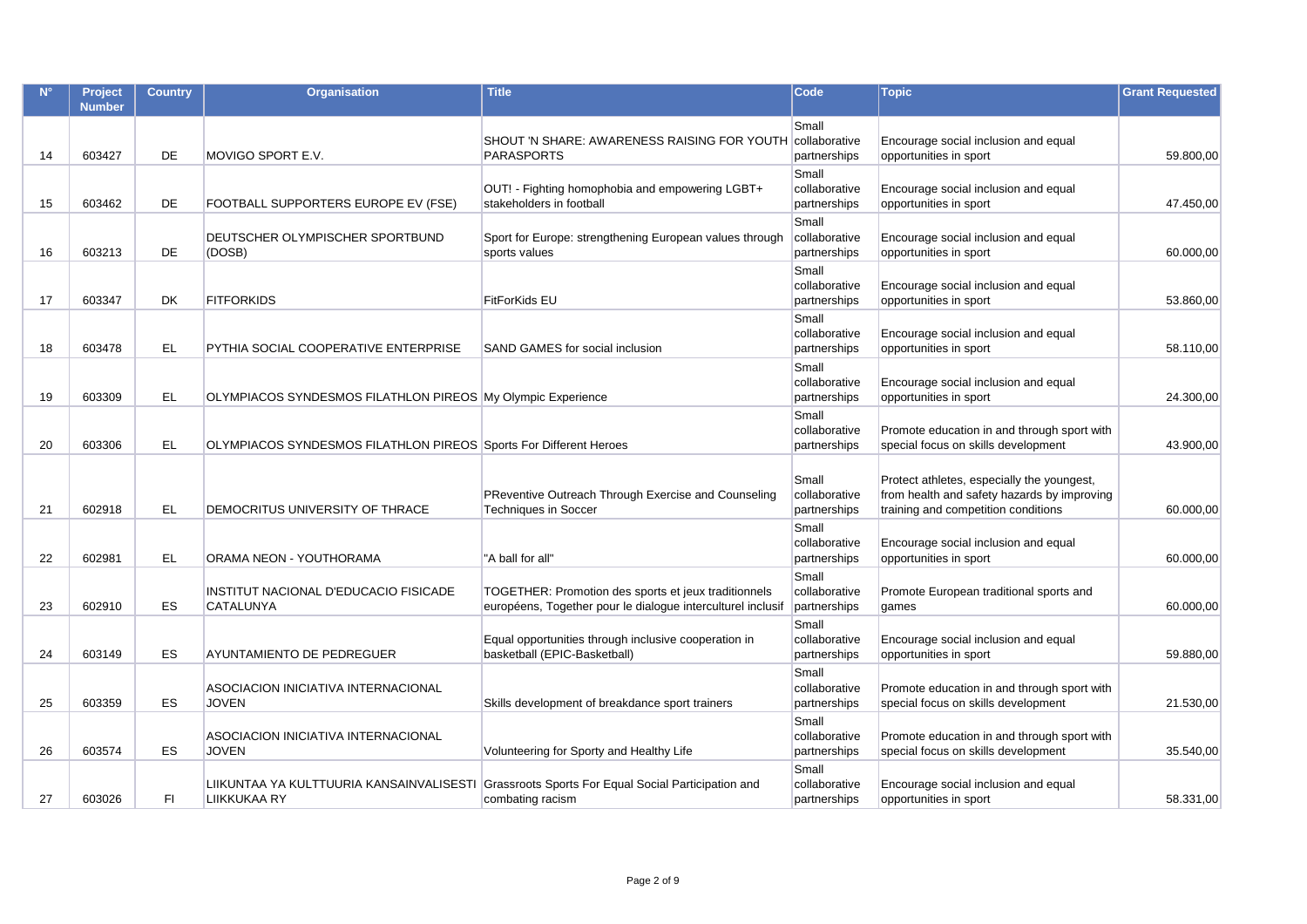| $N^{\circ}$ | Project<br><b>Number</b> | <b>Country</b> | <b>Organisation</b>                                               | <b>Title</b>                                                                                                        | <b>Code</b>                            | <b>Topic</b>                                                                                                                     | <b>Grant Requested</b> |
|-------------|--------------------------|----------------|-------------------------------------------------------------------|---------------------------------------------------------------------------------------------------------------------|----------------------------------------|----------------------------------------------------------------------------------------------------------------------------------|------------------------|
| 14          | 603427                   | DE             | MOVIGO SPORT E.V.                                                 | SHOUT 'N SHARE: AWARENESS RAISING FOR YOUTH Collaborative<br><b>PARASPORTS</b>                                      | Small<br>partnerships                  | Encourage social inclusion and equal<br>opportunities in sport                                                                   | 59.800,00              |
| 15          | 603462                   | DE             | FOOTBALL SUPPORTERS EUROPE EV (FSE)                               | OUT! - Fighting homophobia and empowering LGBT+<br>stakeholders in football                                         | Small<br>collaborative<br>partnerships | Encourage social inclusion and equal<br>opportunities in sport                                                                   | 47.450,00              |
| 16          | 603213                   | <b>DE</b>      | DEUTSCHER OLYMPISCHER SPORTBUND<br>(DOSB)                         | Sport for Europe: strengthening European values through<br>sports values                                            | Small<br>collaborative<br>partnerships | Encourage social inclusion and equal<br>opportunities in sport                                                                   | 60.000,00              |
| 17          | 603347                   | <b>DK</b>      | <b>FITFORKIDS</b>                                                 | <b>FitForKids EU</b>                                                                                                | Small<br>collaborative<br>partnerships | Encourage social inclusion and equal<br>opportunities in sport                                                                   | 53.860,00              |
| 18          | 603478                   | <b>EL</b>      | PYTHIA SOCIAL COOPERATIVE ENTERPRISE                              | SAND GAMES for social inclusion                                                                                     | Small<br>collaborative<br>partnerships | Encourage social inclusion and equal<br>opportunities in sport                                                                   | 58.110,00              |
| 19          | 603309                   | EL             | OLYMPIACOS SYNDESMOS FILATHLON PIREOS My Olympic Experience       |                                                                                                                     | Small<br>collaborative<br>partnerships | Encourage social inclusion and equal<br>opportunities in sport                                                                   | 24.300,00              |
| 20          | 603306                   | EL             | OLYMPIACOS SYNDESMOS FILATHLON PIREOS Sports For Different Heroes |                                                                                                                     | Small<br>collaborative<br>partnerships | Promote education in and through sport with<br>special focus on skills development                                               | 43.900,00              |
| 21          | 602918                   | <b>EL</b>      | DEMOCRITUS UNIVERSITY OF THRACE                                   | PReventive Outreach Through Exercise and Counseling<br><b>Techniques in Soccer</b>                                  | Small<br>collaborative<br>partnerships | Protect athletes, especially the youngest,<br>from health and safety hazards by improving<br>training and competition conditions | 60.000,00              |
| 22          | 602981                   | <b>EL</b>      | ORAMA NEON - YOUTHORAMA                                           | "A ball for all"                                                                                                    | Small<br>collaborative<br>partnerships | Encourage social inclusion and equal<br>opportunities in sport                                                                   | 60.000,00              |
| 23          | 602910                   | <b>ES</b>      | INSTITUT NACIONAL D'EDUCACIO FISICADE<br>CATALUNYA                | TOGETHER: Promotion des sports et jeux traditionnels<br>européens, Together pour le dialogue interculturel inclusif | Small<br>collaborative<br>partnerships | Promote European traditional sports and<br>games                                                                                 | 60.000,00              |
| 24          | 603149                   | ES             | AYUNTAMIENTO DE PEDREGUER                                         | Equal opportunities through inclusive cooperation in<br>basketball (EPIC-Basketball)                                | Small<br>collaborative<br>partnerships | Encourage social inclusion and equal<br>opportunities in sport                                                                   | 59.880,00              |
| 25          | 603359                   | ES             | ASOCIACION INICIATIVA INTERNACIONAL<br><b>JOVEN</b>               | Skills development of breakdance sport trainers                                                                     | Small<br>collaborative<br>partnerships | Promote education in and through sport with<br>special focus on skills development                                               | 21.530,00              |
| 26          | 603574                   | <b>ES</b>      | ASOCIACION INICIATIVA INTERNACIONAL<br><b>JOVEN</b>               | Volunteering for Sporty and Healthy Life                                                                            | Small<br>collaborative<br>partnerships | Promote education in and through sport with<br>special focus on skills development                                               | 35.540,00              |
| 27          | 603026                   | FI             | LIIKKUKAA RY                                                      | LIIKUNTAA YA KULTTUURIA KANSAINVALISESTI Grassroots Sports For Equal Social Participation and<br>combating racism   | Small<br>collaborative<br>partnerships | Encourage social inclusion and equal<br>opportunities in sport                                                                   | 58.331,00              |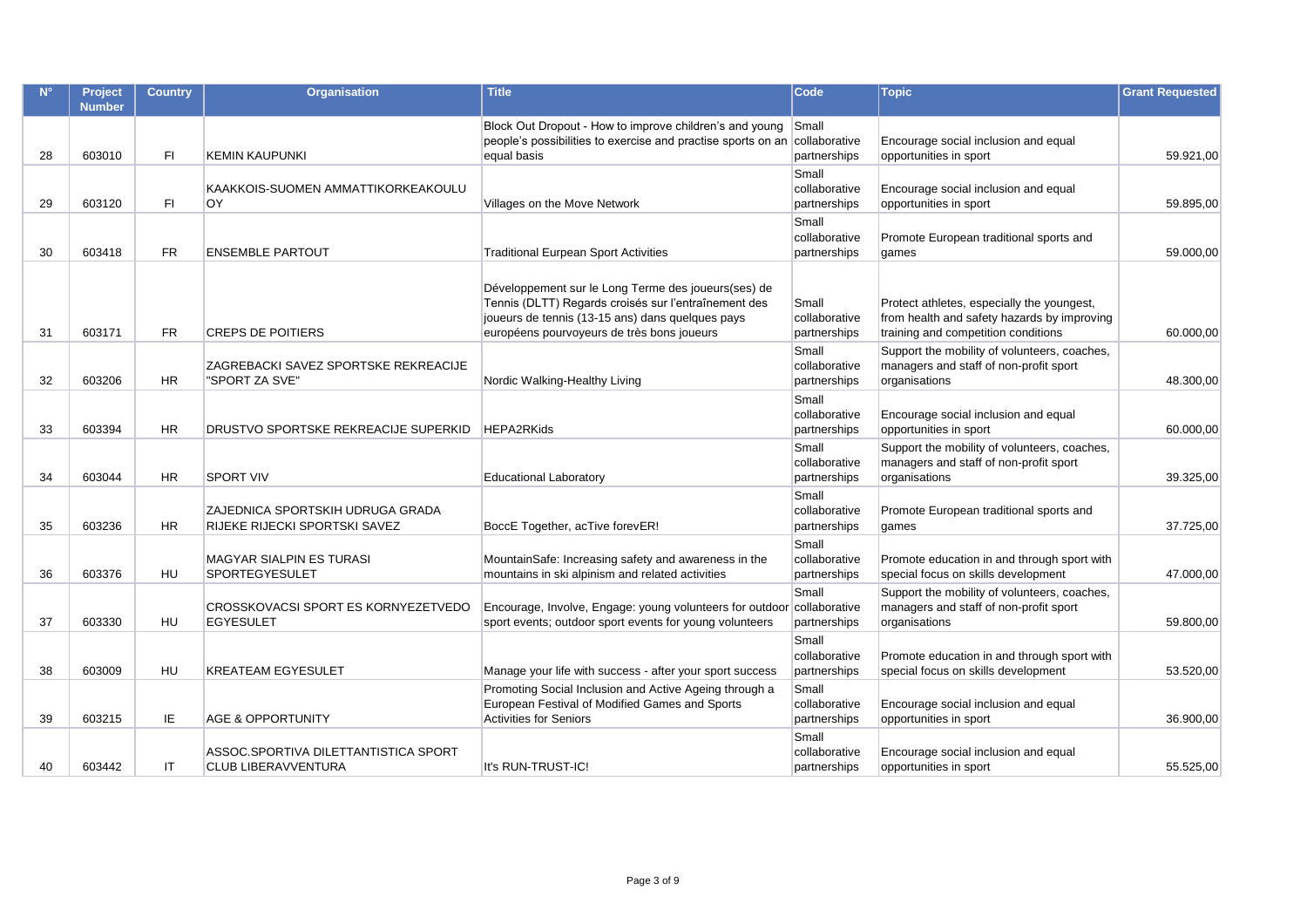|    | Project<br><b>Number</b> | <b>Country</b> | Organisation                                                       | <b>Title</b>                                                                                                                                                                                                  | <b>Code</b>                            | <b>Topic</b>                                                                                                                     | <b>Grant Requested</b> |
|----|--------------------------|----------------|--------------------------------------------------------------------|---------------------------------------------------------------------------------------------------------------------------------------------------------------------------------------------------------------|----------------------------------------|----------------------------------------------------------------------------------------------------------------------------------|------------------------|
| 28 | 603010                   | FI.            | <b>KEMIN KAUPUNKI</b>                                              | Block Out Dropout - How to improve children's and young<br>people's possibilities to exercise and practise sports on an collaborative<br>equal basis                                                          | Small<br>partnerships                  | Encourage social inclusion and equal<br>opportunities in sport                                                                   | 59.921.00              |
| 29 | 603120                   | FI.            | KAAKKOIS-SUOMEN AMMATTIKORKEAKOULU<br>OY.                          | Villages on the Move Network                                                                                                                                                                                  | Small<br>collaborative<br>partnerships | Encourage social inclusion and equal<br>opportunities in sport                                                                   | 59.895,00              |
| 30 | 603418                   | <b>FR</b>      | <b>ENSEMBLE PARTOUT</b>                                            | <b>Traditional Eurpean Sport Activities</b>                                                                                                                                                                   | Small<br>collaborative<br>partnerships | Promote European traditional sports and<br>games                                                                                 | 59.000,00              |
| 31 | 603171                   | FR.            | <b>CREPS DE POITIERS</b>                                           | Développement sur le Long Terme des joueurs(ses) de<br>Tennis (DLTT) Regards croisés sur l'entraînement des<br>joueurs de tennis (13-15 ans) dans quelques pays<br>européens pourvoyeurs de très bons joueurs | Small<br>collaborative<br>partnerships | Protect athletes, especially the youngest,<br>from health and safety hazards by improving<br>training and competition conditions | 60.000,00              |
| 32 | 603206                   | <b>HR</b>      | ZAGREBACKI SAVEZ SPORTSKE REKREACIJE<br>"SPORT ZA SVE"             | Nordic Walking-Healthy Living                                                                                                                                                                                 | Small<br>collaborative<br>partnerships | Support the mobility of volunteers, coaches,<br>managers and staff of non-profit sport<br>organisations                          | 48.300,00              |
| 33 | 603394                   | <b>HR</b>      | DRUSTVO SPORTSKE REKREACIJE SUPERKID                               | <b>HEPA2RKids</b>                                                                                                                                                                                             | Small<br>collaborative<br>partnerships | Encourage social inclusion and equal<br>opportunities in sport                                                                   | 60.000,00              |
| 34 | 603044                   | <b>HR</b>      | <b>SPORT VIV</b>                                                   | <b>Educational Laboratory</b>                                                                                                                                                                                 | Small<br>collaborative<br>partnerships | Support the mobility of volunteers, coaches,<br>managers and staff of non-profit sport<br>organisations                          | 39.325,00              |
| 35 | 603236                   | <b>HR</b>      | ZAJEDNICA SPORTSKIH UDRUGA GRADA<br>RIJEKE RIJECKI SPORTSKI SAVEZ  | BoccE Together, acTive forevER!                                                                                                                                                                               | Small<br>collaborative<br>partnerships | Promote European traditional sports and<br>games                                                                                 | 37.725,00              |
| 36 | 603376                   | <b>HU</b>      | <b>MAGYAR SIALPIN ES TURASI</b><br><b>SPORTEGYESULET</b>           | MountainSafe: Increasing safety and awareness in the<br>mountains in ski alpinism and related activities                                                                                                      | Small<br>collaborative<br>partnerships | Promote education in and through sport with<br>special focus on skills development                                               | 47.000,00              |
| 37 | 603330                   | HU             | <b>CROSSKOVACSI SPORT ES KORNYEZETVEDO</b><br><b>EGYESULET</b>     | Encourage, Involve, Engage: young volunteers for outdoor collaborative<br>sport events; outdoor sport events for young volunteers                                                                             | Small<br>partnerships                  | Support the mobility of volunteers, coaches,<br>managers and staff of non-profit sport<br>organisations                          | 59.800,00              |
| 38 | 603009                   | HU             | <b>KREATEAM EGYESULET</b>                                          | Manage your life with success - after your sport success                                                                                                                                                      | Small<br>collaborative<br>partnerships | Promote education in and through sport with<br>special focus on skills development                                               | 53.520,00              |
| 39 | 603215                   | ΙE             | <b>AGE &amp; OPPORTUNITY</b>                                       | Promoting Social Inclusion and Active Ageing through a<br>European Festival of Modified Games and Sports<br><b>Activities for Seniors</b>                                                                     | Small<br>collaborative<br>partnerships | Encourage social inclusion and equal<br>opportunities in sport                                                                   | 36.900,00              |
| 40 | 603442                   | ΙT             | ASSOC.SPORTIVA DILETTANTISTICA SPORT<br><b>CLUB LIBERAVVENTURA</b> | It's RUN-TRUST-IC!                                                                                                                                                                                            | Small<br>collaborative<br>partnerships | Encourage social inclusion and equal<br>opportunities in sport                                                                   | 55.525,00              |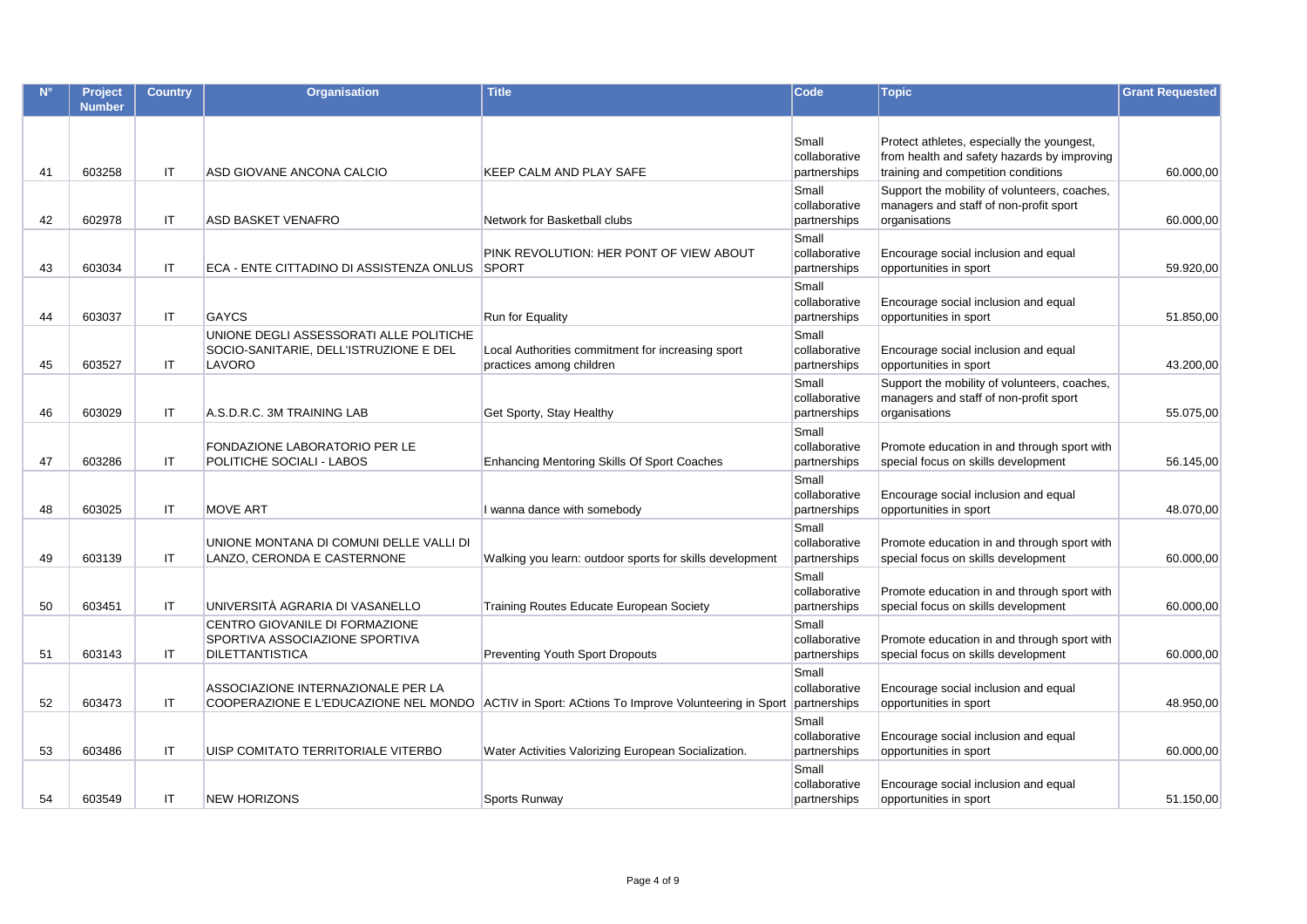|    | Project<br><b>Number</b> | <b>Country</b> | <b>Organisation</b>                                                                         | <b>Title</b>                                                                                   | Code                                   | <b>Topic</b>                                                                                                                     | <b>Grant Requested</b> |
|----|--------------------------|----------------|---------------------------------------------------------------------------------------------|------------------------------------------------------------------------------------------------|----------------------------------------|----------------------------------------------------------------------------------------------------------------------------------|------------------------|
| 41 | 603258                   | <b>IT</b>      | ASD GIOVANE ANCONA CALCIO                                                                   | KEEP CALM AND PLAY SAFE                                                                        | Small<br>collaborative<br>partnerships | Protect athletes, especially the youngest,<br>from health and safety hazards by improving<br>training and competition conditions | 60.000,00              |
| 42 | 602978                   | IT.            | ASD BASKET VENAFRO                                                                          | Network for Basketball clubs                                                                   | Small<br>collaborative<br>partnerships | Support the mobility of volunteers, coaches,<br>managers and staff of non-profit sport<br>organisations                          | 60.000,00              |
| 43 | 603034                   | IT.            | ECA - ENTE CITTADINO DI ASSISTENZA ONLUS                                                    | PINK REVOLUTION: HER PONT OF VIEW ABOUT<br><b>SPORT</b>                                        | Small<br>collaborative<br>partnerships | Encourage social inclusion and equal<br>opportunities in sport                                                                   | 59.920,00              |
| 44 | 603037                   | <b>IT</b>      | GAYCS                                                                                       | Run for Equality                                                                               | Small<br>collaborative<br>partnerships | Encourage social inclusion and equal<br>opportunities in sport                                                                   | 51.850,00              |
| 45 | 603527                   | IT.            | UNIONE DEGLI ASSESSORATI ALLE POLITICHE<br>SOCIO-SANITARIE, DELL'ISTRUZIONE E DEL<br>LAVORO | Local Authorities commitment for increasing sport<br>practices among children                  | Small<br>collaborative<br>partnerships | Encourage social inclusion and equal<br>opportunities in sport                                                                   | 43.200,00              |
| 46 | 603029                   | IT             | A.S.D.R.C. 3M TRAINING LAB                                                                  | Get Sporty, Stay Healthy                                                                       | Small<br>collaborative<br>partnerships | Support the mobility of volunteers, coaches,<br>managers and staff of non-profit sport<br>organisations                          | 55.075,00              |
| 47 | 603286                   | IT.            | FONDAZIONE LABORATORIO PER LE<br>POLITICHE SOCIALI - LABOS                                  | Enhancing Mentoring Skills Of Sport Coaches                                                    | Small<br>collaborative<br>partnerships | Promote education in and through sport with<br>special focus on skills development                                               | 56.145,00              |
| 48 | 603025                   | <b>IT</b>      | <b>MOVE ART</b>                                                                             | I wanna dance with somebody                                                                    | Small<br>collaborative<br>partnerships | Encourage social inclusion and equal<br>opportunities in sport                                                                   | 48.070,00              |
| 49 | 603139                   | IT.            | UNIONE MONTANA DI COMUNI DELLE VALLI DI<br>LANZO, CERONDA E CASTERNONE                      | Walking you learn: outdoor sports for skills development                                       | Small<br>collaborative<br>partnerships | Promote education in and through sport with<br>special focus on skills development                                               | 60.000,00              |
| 50 | 603451                   | IT             | UNIVERSITÀ AGRARIA DI VASANELLO                                                             | Training Routes Educate European Society                                                       | Small<br>collaborative<br>partnerships | Promote education in and through sport with<br>special focus on skills development                                               | 60.000,00              |
| 51 | 603143                   | IT.            | CENTRO GIOVANILE DI FORMAZIONE<br>SPORTIVA ASSOCIAZIONE SPORTIVA<br><b>DILETTANTISTICA</b>  | <b>Preventing Youth Sport Dropouts</b>                                                         | Small<br>collaborative<br>partnerships | Promote education in and through sport with<br>special focus on skills development                                               | 60.000,00              |
| 52 | 603473                   | <b>IT</b>      | ASSOCIAZIONE INTERNAZIONALE PER LA                                                          | COOPERAZIONE E L'EDUCAZIONE NEL MONDO ACTIV in Sport: ACtions To Improve Volunteering in Sport | Small<br>collaborative<br>partnerships | Encourage social inclusion and equal<br>opportunities in sport                                                                   | 48.950,00              |
| 53 | 603486                   | <b>IT</b>      | UISP COMITATO TERRITORIALE VITERBO                                                          | Water Activities Valorizing European Socialization.                                            | Small<br>collaborative<br>partnerships | Encourage social inclusion and equal<br>opportunities in sport                                                                   | 60.000,00              |
| 54 | 603549                   | IT.            | <b>NEW HORIZONS</b>                                                                         | Sports Runway                                                                                  | Small<br>collaborative<br>partnerships | Encourage social inclusion and equal<br>opportunities in sport                                                                   | 51.150,00              |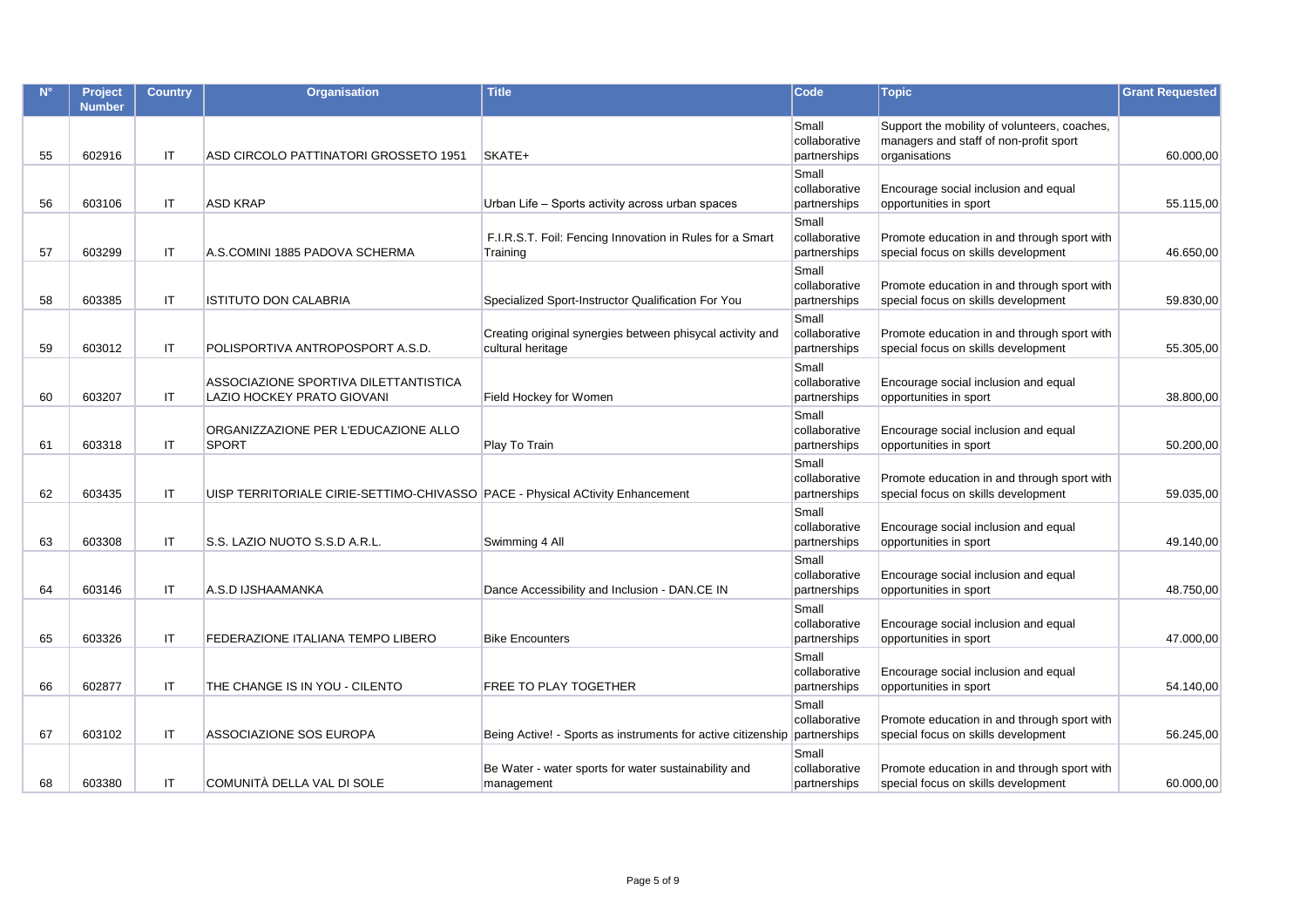|    | Project<br><b>Number</b> | <b>Country</b> | <b>Organisation</b>                                                           | <b>Title</b>                                                                   | <b>Code</b>                            | <b>Topic</b>                                                                                            | <b>Grant Requested</b> |
|----|--------------------------|----------------|-------------------------------------------------------------------------------|--------------------------------------------------------------------------------|----------------------------------------|---------------------------------------------------------------------------------------------------------|------------------------|
| 55 | 602916                   | <b>IT</b>      | ASD CIRCOLO PATTINATORI GROSSETO 1951                                         | SKATE+                                                                         | Small<br>collaborative<br>partnerships | Support the mobility of volunteers, coaches,<br>managers and staff of non-profit sport<br>organisations | 60.000,00              |
| 56 | 603106                   | IT             | <b>ASD KRAP</b>                                                               | Urban Life – Sports activity across urban spaces                               | Small<br>collaborative<br>partnerships | Encourage social inclusion and equal<br>opportunities in sport                                          | 55.115,00              |
| 57 | 603299                   | IT             | A.S.COMINI 1885 PADOVA SCHERMA                                                | F.I.R.S.T. Foil: Fencing Innovation in Rules for a Smart<br>Training           | Small<br>collaborative<br>partnerships | Promote education in and through sport with<br>special focus on skills development                      | 46.650,00              |
| 58 | 603385                   | IT             | <b>ISTITUTO DON CALABRIA</b>                                                  | Specialized Sport-Instructor Qualification For You                             | Small<br>collaborative<br>partnerships | Promote education in and through sport with<br>special focus on skills development                      | 59.830,00              |
| 59 | 603012                   | IT             | POLISPORTIVA ANTROPOSPORT A.S.D.                                              | Creating original synergies between phisycal activity and<br>cultural heritage | Small<br>collaborative<br>partnerships | Promote education in and through sport with<br>special focus on skills development                      | 55.305,00              |
| 60 | 603207                   | IT.            | ASSOCIAZIONE SPORTIVA DILETTANTISTICA<br>LAZIO HOCKEY PRATO GIOVANI           | Field Hockey for Women                                                         | Small<br>collaborative<br>partnerships | Encourage social inclusion and equal<br>opportunities in sport                                          | 38.800,00              |
| 61 | 603318                   | IT             | ORGANIZZAZIONE PER L'EDUCAZIONE ALLO<br><b>SPORT</b>                          | Play To Train                                                                  | Small<br>collaborative<br>partnerships | Encourage social inclusion and equal<br>opportunities in sport                                          | 50.200,00              |
| 62 | 603435                   | IT             | UISP TERRITORIALE CIRIE-SETTIMO-CHIVASSO PACE - Physical ACtivity Enhancement |                                                                                | Small<br>collaborative<br>partnerships | Promote education in and through sport with<br>special focus on skills development                      | 59.035,00              |
| 63 | 603308                   | IT             | S.S. LAZIO NUOTO S.S.D A.R.L.                                                 | Swimming 4 All                                                                 | Small<br>collaborative<br>partnerships | Encourage social inclusion and equal<br>opportunities in sport                                          | 49.140,00              |
| 64 | 603146                   | IT             | A.S.D IJSHAAMANKA                                                             | Dance Accessibility and Inclusion - DAN.CE IN                                  | Small<br>collaborative<br>partnerships | Encourage social inclusion and equal<br>opportunities in sport                                          | 48.750,00              |
| 65 | 603326                   | IT             | FEDERAZIONE ITALIANA TEMPO LIBERO                                             | <b>Bike Encounters</b>                                                         | Small<br>collaborative<br>partnerships | Encourage social inclusion and equal<br>opportunities in sport                                          | 47.000,00              |
| 66 | 602877                   | IT             | THE CHANGE IS IN YOU - CILENTO                                                | FREE TO PLAY TOGETHER                                                          | Small<br>collaborative<br>partnerships | Encourage social inclusion and equal<br>opportunities in sport                                          | 54.140,00              |
| 67 | 603102                   | IT             | ASSOCIAZIONE SOS EUROPA                                                       | Being Active! - Sports as instruments for active citizenship partnerships      | Small<br>collaborative                 | Promote education in and through sport with<br>special focus on skills development                      | 56.245,00              |
| 68 | 603380                   | IT.            | COMUNITÀ DELLA VAL DI SOLE                                                    | Be Water - water sports for water sustainability and<br>management             | Small<br>collaborative<br>partnerships | Promote education in and through sport with<br>special focus on skills development                      | 60.000,00              |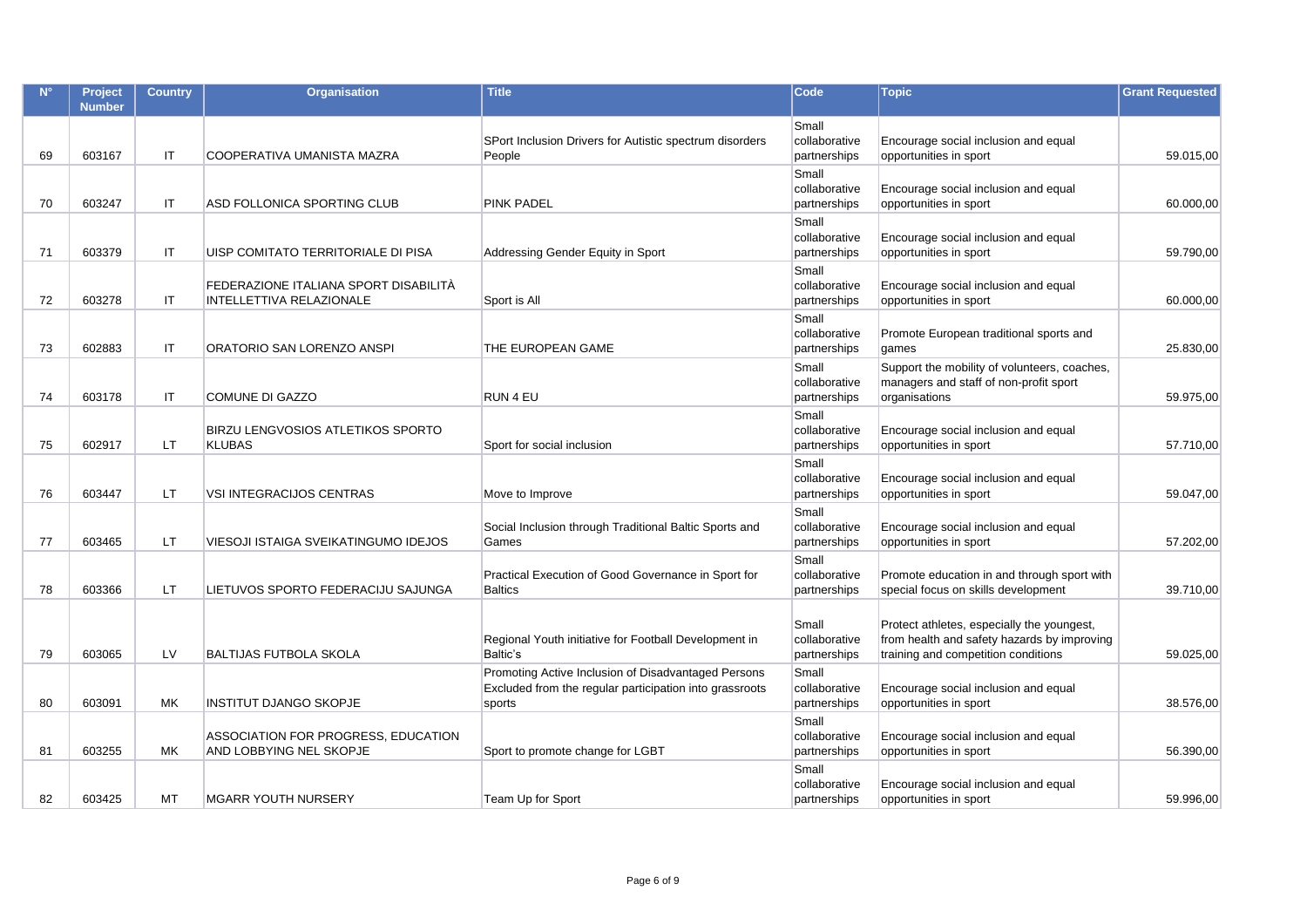|    | Project<br><b>Number</b> | <b>Country</b> | <b>Organisation</b>                                               | <b>Title</b>                                                                                                             | <b>Code</b>                            | <b>Topic</b>                                                                                                                     | <b>Grant Requested</b> |
|----|--------------------------|----------------|-------------------------------------------------------------------|--------------------------------------------------------------------------------------------------------------------------|----------------------------------------|----------------------------------------------------------------------------------------------------------------------------------|------------------------|
| 69 | 603167                   | IT             | COOPERATIVA UMANISTA MAZRA                                        | SPort Inclusion Drivers for Autistic spectrum disorders<br>People                                                        | Small<br>collaborative<br>partnerships | Encourage social inclusion and equal<br>opportunities in sport                                                                   | 59.015.00              |
| 70 | 603247                   | IT             | ASD FOLLONICA SPORTING CLUB                                       | <b>PINK PADEL</b>                                                                                                        | Small<br>collaborative<br>partnerships | Encourage social inclusion and equal<br>opportunities in sport                                                                   | 60.000,00              |
| 71 | 603379                   | IT.            | UISP COMITATO TERRITORIALE DI PISA                                | Addressing Gender Equity in Sport                                                                                        | Small<br>collaborative<br>partnerships | Encourage social inclusion and equal<br>opportunities in sport                                                                   | 59.790,00              |
| 72 | 603278                   | IT.            | FEDERAZIONE ITALIANA SPORT DISABILITÀ<br>INTELLETTIVA RELAZIONALE | Sport is All                                                                                                             | Small<br>collaborative<br>partnerships | Encourage social inclusion and equal<br>opportunities in sport                                                                   | 60.000,00              |
| 73 | 602883                   | IT             | ORATORIO SAN LORENZO ANSPI                                        | THE EUROPEAN GAME                                                                                                        | Small<br>collaborative<br>partnerships | Promote European traditional sports and<br>games                                                                                 | 25.830,00              |
| 74 | 603178                   | IT             | COMUNE DI GAZZO                                                   | RUN 4 EU                                                                                                                 | Small<br>collaborative<br>partnerships | Support the mobility of volunteers, coaches,<br>managers and staff of non-profit sport<br>organisations                          | 59.975,00              |
| 75 | 602917                   | <b>LT</b>      | <b>BIRZU LENGVOSIOS ATLETIKOS SPORTO</b><br><b>KLUBAS</b>         | Sport for social inclusion                                                                                               | Small<br>collaborative<br>partnerships | Encourage social inclusion and equal<br>opportunities in sport                                                                   | 57.710,00              |
| 76 | 603447                   | LT.            | <b>VSI INTEGRACIJOS CENTRAS</b>                                   | Move to Improve                                                                                                          | Small<br>collaborative<br>partnerships | Encourage social inclusion and equal<br>opportunities in sport                                                                   | 59.047,00              |
| 77 | 603465                   | LT.            | VIESOJI ISTAIGA SVEIKATINGUMO IDEJOS                              | Social Inclusion through Traditional Baltic Sports and<br>Games                                                          | Small<br>collaborative<br>partnerships | Encourage social inclusion and equal<br>opportunities in sport                                                                   | 57.202,00              |
| 78 | 603366                   | <b>LT</b>      | LIETUVOS SPORTO FEDERACIJU SAJUNGA                                | Practical Execution of Good Governance in Sport for<br><b>Baltics</b>                                                    | Small<br>collaborative<br>partnerships | Promote education in and through sport with<br>special focus on skills development                                               | 39.710,00              |
| 79 | 603065                   | LV             | <b>BALTIJAS FUTBOLA SKOLA</b>                                     | Regional Youth initiative for Football Development in<br>Baltic's                                                        | Small<br>collaborative<br>partnerships | Protect athletes, especially the youngest,<br>from health and safety hazards by improving<br>training and competition conditions | 59.025,00              |
| 80 | 603091                   | МK             | <b>INSTITUT DJANGO SKOPJE</b>                                     | Promoting Active Inclusion of Disadvantaged Persons<br>Excluded from the regular participation into grassroots<br>sports | Small<br>collaborative<br>partnerships | Encourage social inclusion and equal<br>opportunities in sport                                                                   | 38.576,00              |
| 81 | 603255                   | <b>MK</b>      | ASSOCIATION FOR PROGRESS, EDUCATION<br>AND LOBBYING NEL SKOPJE    | Sport to promote change for LGBT                                                                                         | Small<br>collaborative<br>partnerships | Encourage social inclusion and equal<br>opportunities in sport                                                                   | 56.390,00              |
| 82 | 603425                   | <b>MT</b>      | <b>MGARR YOUTH NURSERY</b>                                        | Team Up for Sport                                                                                                        | Small<br>collaborative<br>partnerships | Encourage social inclusion and equal<br>opportunities in sport                                                                   | 59.996,00              |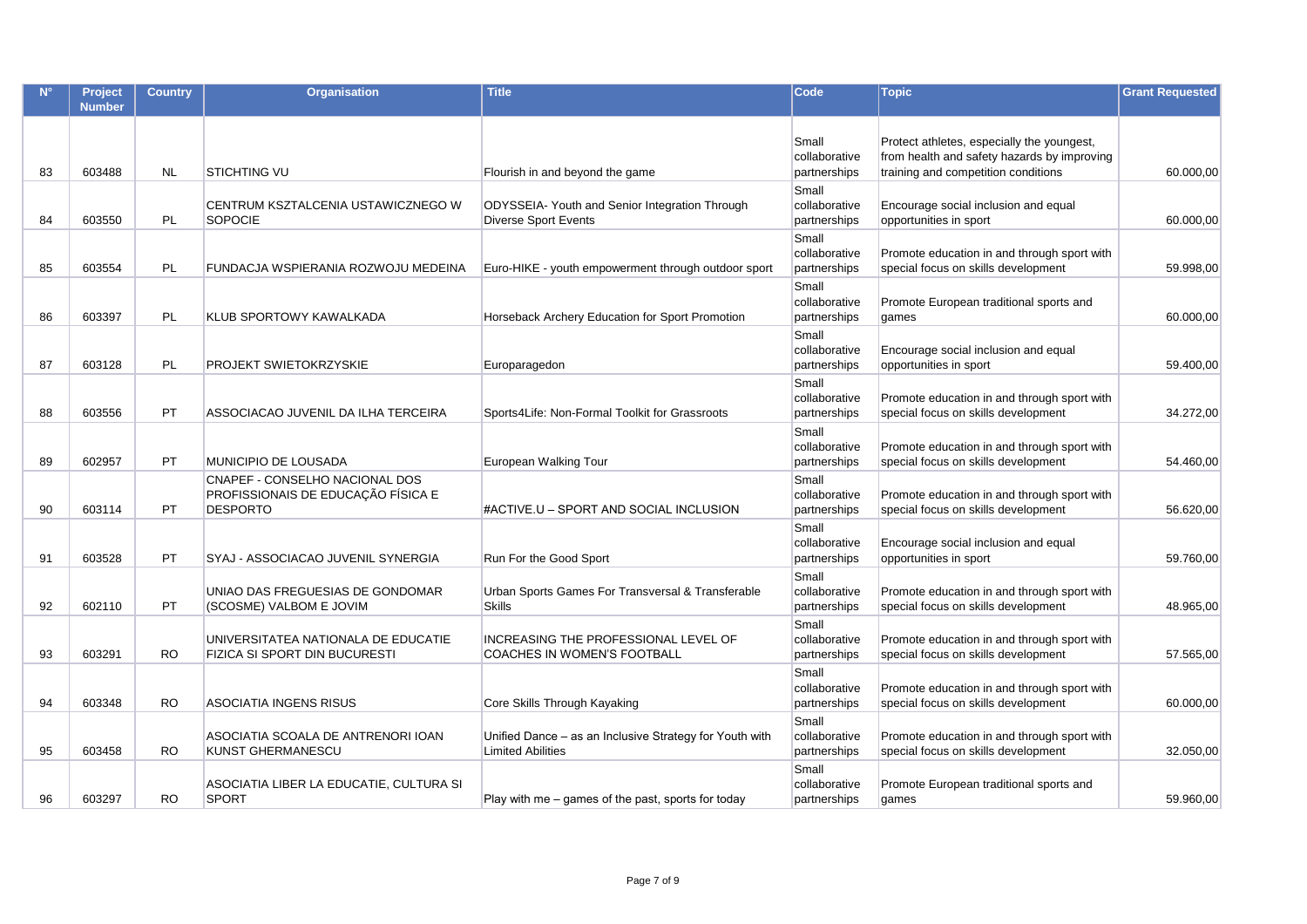|    | <b>Project</b><br><b>Number</b> | <b>Country</b> | <b>Organisation</b>                                                                     | <b>Title</b>                                                                        | Code                                   | <b>Topic</b>                                                                              | <b>Grant Requested</b> |
|----|---------------------------------|----------------|-----------------------------------------------------------------------------------------|-------------------------------------------------------------------------------------|----------------------------------------|-------------------------------------------------------------------------------------------|------------------------|
|    |                                 |                |                                                                                         |                                                                                     | Small<br>collaborative                 | Protect athletes, especially the youngest,<br>from health and safety hazards by improving |                        |
| 83 | 603488                          | <b>NL</b>      | <b>STICHTING VU</b>                                                                     | Flourish in and beyond the game                                                     | partnerships                           | training and competition conditions                                                       | 60.000,00              |
| 84 | 603550                          | <b>PL</b>      | CENTRUM KSZTALCENIA USTAWICZNEGO W<br><b>SOPOCIE</b>                                    | ODYSSEIA- Youth and Senior Integration Through<br><b>Diverse Sport Events</b>       | Small<br>collaborative<br>partnerships | Encourage social inclusion and equal<br>opportunities in sport                            | 60.000,00              |
| 85 | 603554                          | PL             | FUNDACJA WSPIERANIA ROZWOJU MEDEINA                                                     | Euro-HIKE - youth empowerment through outdoor sport                                 | Small<br>collaborative<br>partnerships | Promote education in and through sport with<br>special focus on skills development        | 59.998,00              |
| 86 | 603397                          | <b>PL</b>      | KLUB SPORTOWY KAWALKADA                                                                 | Horseback Archery Education for Sport Promotion                                     | Small<br>collaborative<br>partnerships | Promote European traditional sports and<br>games                                          | 60.000,00              |
| 87 | 603128                          | PL             | PROJEKT SWIETOKRZYSKIE                                                                  | Europaragedon                                                                       | Small<br>collaborative<br>partnerships | Encourage social inclusion and equal<br>opportunities in sport                            | 59.400,00              |
| 88 | 603556                          | <b>PT</b>      | ASSOCIACAO JUVENIL DA ILHA TERCEIRA                                                     | Sports4Life: Non-Formal Toolkit for Grassroots                                      | Small<br>collaborative<br>partnerships | Promote education in and through sport with<br>special focus on skills development        | 34.272,00              |
| 89 | 602957                          | <b>PT</b>      | <b>MUNICIPIO DE LOUSADA</b>                                                             | European Walking Tour                                                               | Small<br>collaborative<br>partnerships | Promote education in and through sport with<br>special focus on skills development        | 54.460,00              |
| 90 | 603114                          | <b>PT</b>      | CNAPEF - CONSELHO NACIONAL DOS<br>PROFISSIONAIS DE EDUCAÇÃO FÍSICA E<br><b>DESPORTO</b> | #ACTIVE.U - SPORT AND SOCIAL INCLUSION                                              | Small<br>collaborative<br>partnerships | Promote education in and through sport with<br>special focus on skills development        | 56.620,00              |
| 91 | 603528                          | <b>PT</b>      | SYAJ - ASSOCIACAO JUVENIL SYNERGIA                                                      | Run For the Good Sport                                                              | Small<br>collaborative<br>partnerships | Encourage social inclusion and equal<br>opportunities in sport                            | 59.760,00              |
| 92 | 602110                          | PT             | UNIAO DAS FREGUESIAS DE GONDOMAR<br>(SCOSME) VALBOM E JOVIM                             | Urban Sports Games For Transversal & Transferable<br><b>Skills</b>                  | Small<br>collaborative<br>partnerships | Promote education in and through sport with<br>special focus on skills development        | 48.965,00              |
| 93 | 603291                          | <b>RO</b>      | UNIVERSITATEA NATIONALA DE EDUCATIE<br>FIZICA SI SPORT DIN BUCURESTI                    | INCREASING THE PROFESSIONAL LEVEL OF<br>COACHES IN WOMEN'S FOOTBALL                 | Small<br>collaborative<br>partnerships | Promote education in and through sport with<br>special focus on skills development        | 57.565,00              |
| 94 | 603348                          | <b>RO</b>      | <b>ASOCIATIA INGENS RISUS</b>                                                           | Core Skills Through Kayaking                                                        | Small<br>collaborative<br>partnerships | Promote education in and through sport with<br>special focus on skills development        | 60.000,00              |
| 95 | 603458                          | <b>RO</b>      | ASOCIATIA SCOALA DE ANTRENORI IOAN<br>KUNST GHERMANESCU                                 | Unified Dance – as an Inclusive Strategy for Youth with<br><b>Limited Abilities</b> | Small<br>collaborative<br>partnerships | Promote education in and through sport with<br>special focus on skills development        | 32.050,00              |
| 96 | 603297                          | <b>RO</b>      | ASOCIATIA LIBER LA EDUCATIE, CULTURA SI<br><b>SPORT</b>                                 | Play with me – games of the past, sports for today                                  | Small<br>collaborative<br>partnerships | Promote European traditional sports and<br>games                                          | 59.960,00              |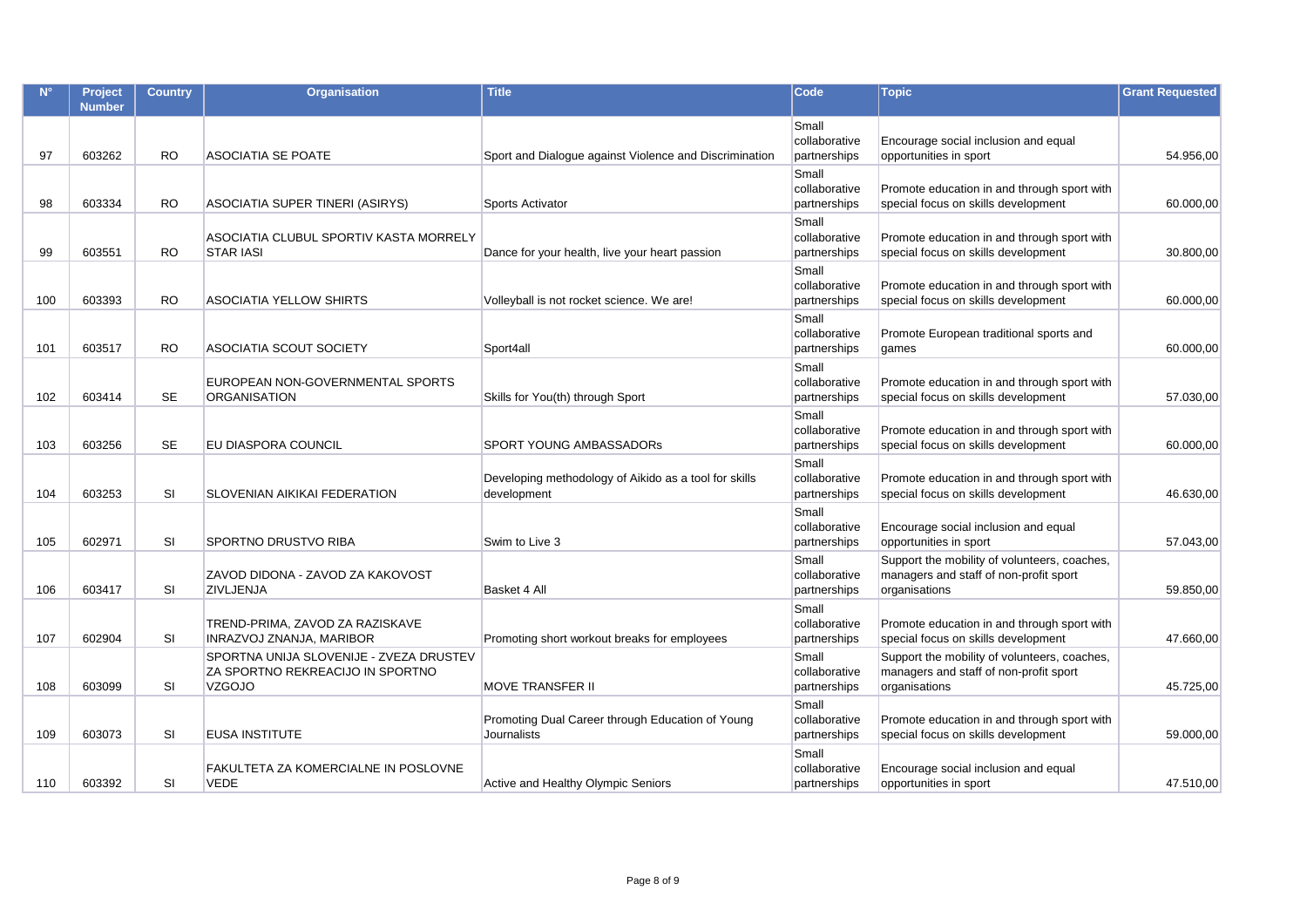| $N^{\circ}$ | Project<br><b>Number</b> | <b>Country</b> | Organisation                                                                                 | <b>Title</b>                                                         | Code                                   | <b>Topic</b>                                                                                            | <b>Grant Requested</b> |
|-------------|--------------------------|----------------|----------------------------------------------------------------------------------------------|----------------------------------------------------------------------|----------------------------------------|---------------------------------------------------------------------------------------------------------|------------------------|
| 97          | 603262                   | <b>RO</b>      | <b>ASOCIATIA SE POATE</b>                                                                    | Sport and Dialogue against Violence and Discrimination               | Small<br>collaborative<br>partnerships | Encourage social inclusion and equal<br>opportunities in sport                                          | 54.956,00              |
| 98          | 603334                   | RO.            | ASOCIATIA SUPER TINERI (ASIRYS)                                                              | Sports Activator                                                     | Small<br>collaborative<br>partnerships | Promote education in and through sport with<br>special focus on skills development                      | 60.000,00              |
| 99          | 603551                   | RO.            | ASOCIATIA CLUBUL SPORTIV KASTA MORRELY<br><b>STAR IASI</b>                                   | Dance for your health, live your heart passion                       | Small<br>collaborative<br>partnerships | Promote education in and through sport with<br>special focus on skills development                      | 30.800,00              |
| 100         | 603393                   | <b>RO</b>      | <b>ASOCIATIA YELLOW SHIRTS</b>                                                               | Volleyball is not rocket science. We are!                            | Small<br>collaborative<br>partnerships | Promote education in and through sport with<br>special focus on skills development                      | 60.000,00              |
| 101         | 603517                   | <b>RO</b>      | <b>ASOCIATIA SCOUT SOCIETY</b>                                                               | Sport4all                                                            | Small<br>collaborative<br>partnerships | Promote European traditional sports and<br>games                                                        | 60.000,00              |
| 102         | 603414                   | <b>SE</b>      | EUROPEAN NON-GOVERNMENTAL SPORTS<br><b>ORGANISATION</b>                                      | Skills for You(th) through Sport                                     | Small<br>collaborative<br>partnerships | Promote education in and through sport with<br>special focus on skills development                      | 57.030,00              |
| 103         | 603256                   | <b>SE</b>      | EU DIASPORA COUNCIL                                                                          | <b>SPORT YOUNG AMBASSADORS</b>                                       | Small<br>collaborative<br>partnerships | Promote education in and through sport with<br>special focus on skills development                      | 60.000,00              |
| 104         | 603253                   | <b>SI</b>      | SLOVENIAN AIKIKAI FEDERATION                                                                 | Developing methodology of Aikido as a tool for skills<br>development | Small<br>collaborative<br>partnerships | Promote education in and through sport with<br>special focus on skills development                      | 46.630,00              |
| 105         | 602971                   | <b>SI</b>      | SPORTNO DRUSTVO RIBA                                                                         | Swim to Live 3                                                       | Small<br>collaborative<br>partnerships | Encourage social inclusion and equal<br>opportunities in sport                                          | 57.043,00              |
| 106         | 603417                   | <b>SI</b>      | ZAVOD DIDONA - ZAVOD ZA KAKOVOST<br>ZIVLJENJA                                                | Basket 4 All                                                         | Small<br>collaborative<br>partnerships | Support the mobility of volunteers, coaches,<br>managers and staff of non-profit sport<br>organisations | 59.850,00              |
| 107         | 602904                   | <b>SI</b>      | TREND-PRIMA, ZAVOD ZA RAZISKAVE<br>INRAZVOJ ZNANJA, MARIBOR                                  | Promoting short workout breaks for employees                         | Small<br>collaborative<br>partnerships | Promote education in and through sport with<br>special focus on skills development                      | 47.660,00              |
| 108         | 603099                   | <b>SI</b>      | SPORTNA UNIJA SLOVENIJE - ZVEZA DRUSTEV<br>ZA SPORTNO REKREACIJO IN SPORTNO<br><b>VZGOJO</b> | <b>MOVE TRANSFER II</b>                                              | Small<br>collaborative<br>partnerships | Support the mobility of volunteers, coaches,<br>managers and staff of non-profit sport<br>organisations | 45.725,00              |
| 109         | 603073                   | <b>SI</b>      | <b>EUSA INSTITUTE</b>                                                                        | Promoting Dual Career through Education of Young<br>Journalists      | Small<br>collaborative<br>partnerships | Promote education in and through sport with<br>special focus on skills development                      | 59.000,00              |
| 110         | 603392                   | <b>SI</b>      | FAKULTETA ZA KOMERCIALNE IN POSLOVNE<br><b>VEDE</b>                                          | Active and Healthy Olympic Seniors                                   | Small<br>collaborative<br>partnerships | Encourage social inclusion and equal<br>opportunities in sport                                          | 47.510,00              |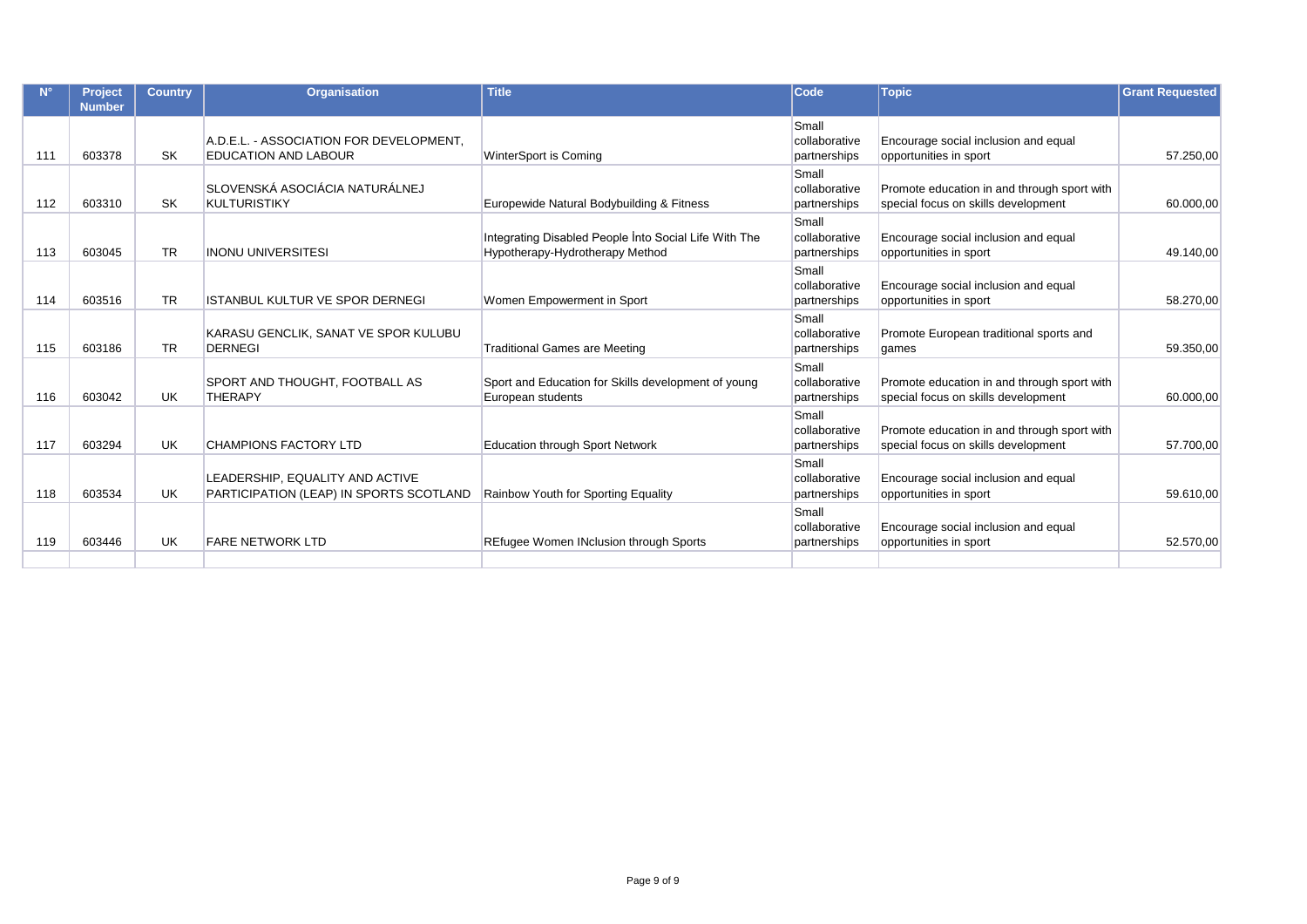|     | <b>Project</b><br><b>Number</b> | <b>Country</b> | <b>Organisation</b>                                                        | <b>Title</b>                                                                             | <b>Code</b>                            | <b>Topic</b>                                                                       | <b>Grant Requested</b> |
|-----|---------------------------------|----------------|----------------------------------------------------------------------------|------------------------------------------------------------------------------------------|----------------------------------------|------------------------------------------------------------------------------------|------------------------|
| 111 | 603378                          | <b>SK</b>      | A.D.E.L. - ASSOCIATION FOR DEVELOPMENT.<br><b>EDUCATION AND LABOUR</b>     | WinterSport is Coming                                                                    | Small<br>collaborative<br>partnerships | Encourage social inclusion and equal<br>opportunities in sport                     | 57.250,00              |
| 112 | 603310                          | <b>SK</b>      | SLOVENSKÁ ASOCIÁCIA NATURÁLNEJ<br><b>KULTURISTIKY</b>                      | Europewide Natural Bodybuilding & Fitness                                                | Small<br>collaborative<br>partnerships | Promote education in and through sport with<br>special focus on skills development | 60.000,00              |
| 113 | 603045                          | <b>TR</b>      | <b>INONU UNIVERSITESI</b>                                                  | Integrating Disabled People Into Social Life With The<br>Hypotherapy-Hydrotherapy Method | Small<br>collaborative<br>partnerships | Encourage social inclusion and equal<br>opportunities in sport                     | 49.140,00              |
| 114 | 603516                          | <b>TR</b>      | <b>ISTANBUL KULTUR VE SPOR DERNEGI</b>                                     | Women Empowerment in Sport                                                               | Small<br>collaborative<br>partnerships | Encourage social inclusion and equal<br>opportunities in sport                     | 58.270,00              |
| 115 | 603186                          | <b>TR</b>      | KARASU GENCLIK, SANAT VE SPOR KULUBU<br><b>DERNEGI</b>                     | <b>Traditional Games are Meeting</b>                                                     | Small<br>collaborative<br>partnerships | Promote European traditional sports and<br>games                                   | 59.350,00              |
| 116 | 603042                          | <b>UK</b>      | SPORT AND THOUGHT, FOOTBALL AS<br><b>THERAPY</b>                           | Sport and Education for Skills development of young<br>European students                 | Small<br>collaborative<br>partnerships | Promote education in and through sport with<br>special focus on skills development | 60.000,00              |
| 117 | 603294                          | <b>UK</b>      | <b>CHAMPIONS FACTORY LTD</b>                                               | <b>Education through Sport Network</b>                                                   | Small<br>collaborative<br>partnerships | Promote education in and through sport with<br>special focus on skills development | 57.700,00              |
| 118 | 603534                          | UK             | LEADERSHIP, EQUALITY AND ACTIVE<br>PARTICIPATION (LEAP) IN SPORTS SCOTLAND | Rainbow Youth for Sporting Equality                                                      | Small<br>collaborative<br>partnerships | Encourage social inclusion and equal<br>opportunities in sport                     | 59.610.00              |
| 119 | 603446                          | <b>UK</b>      | <b>FARE NETWORK LTD</b>                                                    | <b>REfugee Women INclusion through Sports</b>                                            | Small<br>collaborative<br>partnerships | Encourage social inclusion and equal<br>opportunities in sport                     | 52.570,00              |
|     |                                 |                |                                                                            |                                                                                          |                                        |                                                                                    |                        |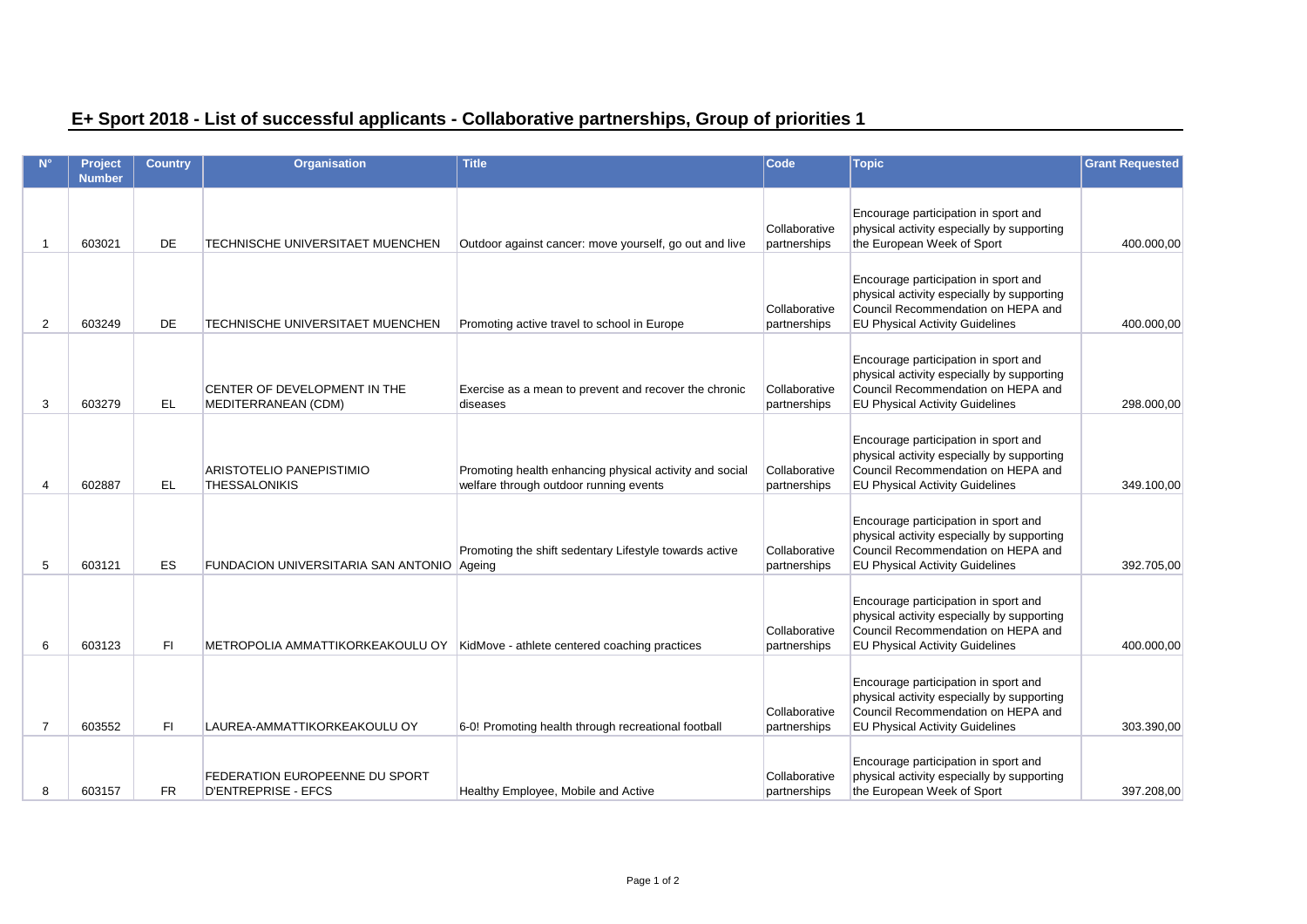|  | E+ Sport 2018 - List of successful applicants - Collaborative partnerships, Group of priorities 1 |  |  |
|--|---------------------------------------------------------------------------------------------------|--|--|
|  |                                                                                                   |  |  |

|                | <b>Project</b> | Country   | <b>Organisation</b>                                          | <b>Title</b>                                                                                      | Code                          | <b>Topic</b>                                                                                                                                                       | <b>Grant Requested</b> |
|----------------|----------------|-----------|--------------------------------------------------------------|---------------------------------------------------------------------------------------------------|-------------------------------|--------------------------------------------------------------------------------------------------------------------------------------------------------------------|------------------------|
|                | <b>Number</b>  |           |                                                              |                                                                                                   |                               |                                                                                                                                                                    |                        |
| -1             | 603021         | <b>DE</b> | <b>TECHNISCHE UNIVERSITAET MUENCHEN</b>                      | Outdoor against cancer: move yourself, go out and live                                            | Collaborative<br>partnerships | Encourage participation in sport and<br>physical activity especially by supporting<br>the European Week of Sport                                                   | 400.000,00             |
| $\overline{2}$ | 603249         | <b>DE</b> | TECHNISCHE UNIVERSITAET MUENCHEN                             | Promoting active travel to school in Europe                                                       | Collaborative<br>partnerships | Encourage participation in sport and<br>physical activity especially by supporting<br>Council Recommendation on HEPA and<br><b>EU Physical Activity Guidelines</b> | 400.000.00             |
| 3              | 603279         | EL.       | CENTER OF DEVELOPMENT IN THE<br>MEDITERRANEAN (CDM)          | Exercise as a mean to prevent and recover the chronic<br>diseases                                 | Collaborative<br>partnerships | Encourage participation in sport and<br>physical activity especially by supporting<br>Council Recommendation on HEPA and<br><b>EU Physical Activity Guidelines</b> | 298.000,00             |
| 4              | 602887         | <b>EL</b> | ARISTOTELIO PANEPISTIMIO<br><b>THESSALONIKIS</b>             | Promoting health enhancing physical activity and social<br>welfare through outdoor running events | Collaborative<br>partnerships | Encourage participation in sport and<br>physical activity especially by supporting<br>Council Recommendation on HEPA and<br><b>EU Physical Activity Guidelines</b> | 349.100,00             |
| 5              | 603121         | <b>ES</b> | FUNDACION UNIVERSITARIA SAN ANTONIO Ageing                   | Promoting the shift sedentary Lifestyle towards active                                            | Collaborative<br>partnerships | Encourage participation in sport and<br>physical activity especially by supporting<br>Council Recommendation on HEPA and<br><b>EU Physical Activity Guidelines</b> | 392.705.00             |
| 6              | 603123         | F1        | METROPOLIA AMMATTIKORKEAKOULU OY                             | KidMove - athlete centered coaching practices                                                     | Collaborative<br>partnerships | Encourage participation in sport and<br>physical activity especially by supporting<br>Council Recommendation on HEPA and<br><b>EU Physical Activity Guidelines</b> | 400.000,00             |
| $\overline{7}$ | 603552         | FI        | LAUREA-AMMATTIKORKEAKOULU OY                                 | 6-0! Promoting health through recreational football                                               | Collaborative<br>partnerships | Encourage participation in sport and<br>physical activity especially by supporting<br>Council Recommendation on HEPA and<br><b>EU Physical Activity Guidelines</b> | 303.390,00             |
| 8              | 603157         | <b>FR</b> | FEDERATION EUROPEENNE DU SPORT<br><b>D'ENTREPRISE - EFCS</b> | Healthy Employee, Mobile and Active                                                               | Collaborative<br>partnerships | Encourage participation in sport and<br>physical activity especially by supporting<br>the European Week of Sport                                                   | 397.208,00             |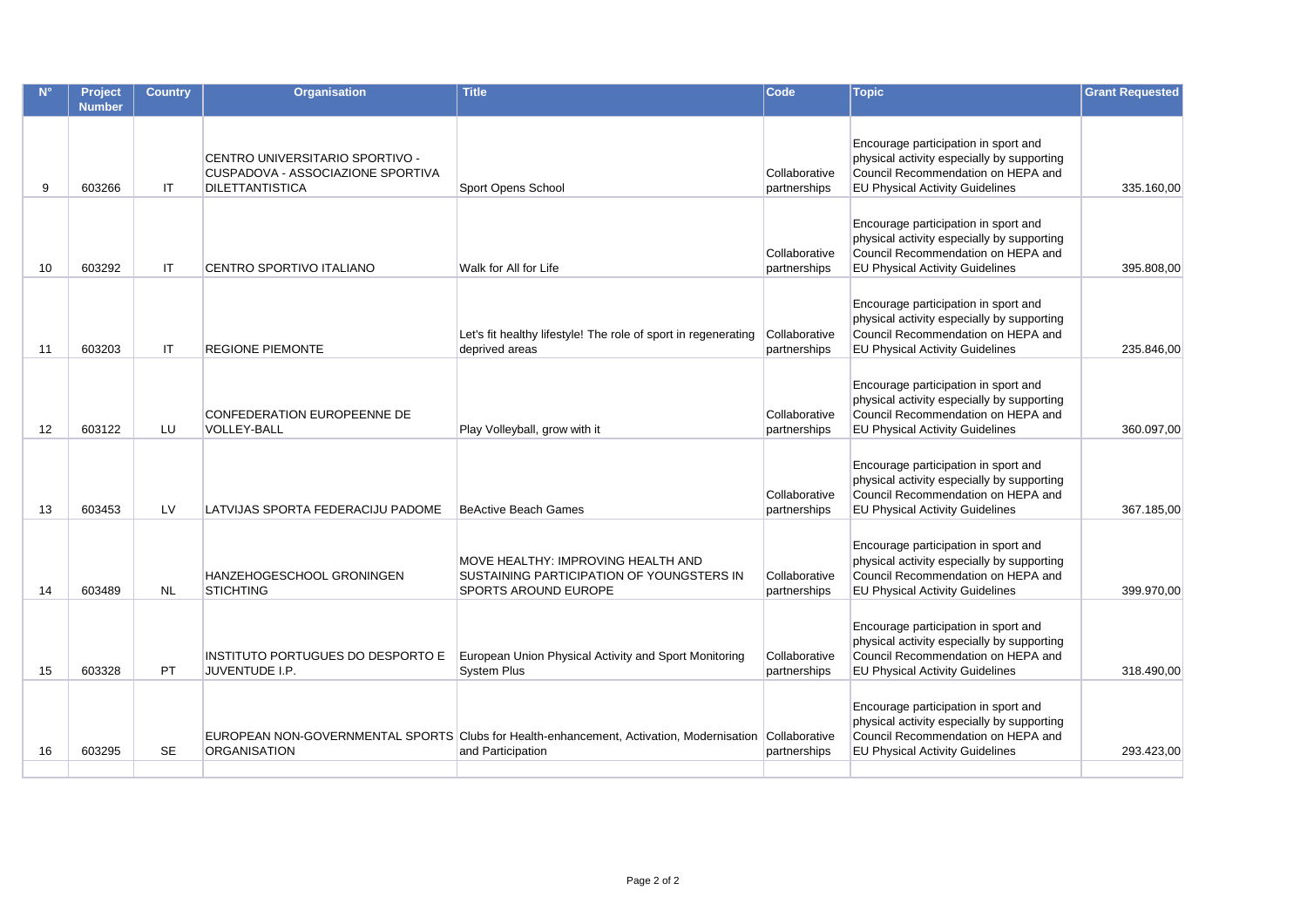|                   | <b>Project</b><br><b>Number</b> | <b>Country</b> | Organisation                                                                                   | <b>Title</b>                                                                                                                | Code                          | <b>Topic</b>                                                                                                                                                       | <b>Grant Requested</b> |
|-------------------|---------------------------------|----------------|------------------------------------------------------------------------------------------------|-----------------------------------------------------------------------------------------------------------------------------|-------------------------------|--------------------------------------------------------------------------------------------------------------------------------------------------------------------|------------------------|
|                   |                                 |                |                                                                                                |                                                                                                                             |                               |                                                                                                                                                                    |                        |
| 9                 | 603266                          | IT             | CENTRO UNIVERSITARIO SPORTIVO -<br>CUSPADOVA - ASSOCIAZIONE SPORTIVA<br><b>DILETTANTISTICA</b> | Sport Opens School                                                                                                          | Collaborative<br>partnerships | Encourage participation in sport and<br>physical activity especially by supporting<br>Council Recommendation on HEPA and<br><b>EU Physical Activity Guidelines</b> | 335.160,00             |
| 10                | 603292                          | IT             | CENTRO SPORTIVO ITALIANO                                                                       | Walk for All for Life                                                                                                       | Collaborative<br>partnerships | Encourage participation in sport and<br>physical activity especially by supporting<br>Council Recommendation on HEPA and<br><b>EU Physical Activity Guidelines</b> | 395.808,00             |
| 11                | 603203                          | <b>IT</b>      | <b>REGIONE PIEMONTE</b>                                                                        | Let's fit healthy lifestyle! The role of sport in regenerating<br>deprived areas                                            | Collaborative<br>partnerships | Encourage participation in sport and<br>physical activity especially by supporting<br>Council Recommendation on HEPA and<br><b>EU Physical Activity Guidelines</b> | 235.846.00             |
| $12 \overline{ }$ | 603122                          | LU             | CONFEDERATION EUROPEENNE DE<br><b>VOLLEY-BALL</b>                                              | Play Volleyball, grow with it                                                                                               | Collaborative<br>partnerships | Encourage participation in sport and<br>physical activity especially by supporting<br>Council Recommendation on HEPA and<br><b>EU Physical Activity Guidelines</b> | 360.097,00             |
| 13                | 603453                          | LV             | LATVIJAS SPORTA FEDERACIJU PADOME                                                              | <b>BeActive Beach Games</b>                                                                                                 | Collaborative<br>partnerships | Encourage participation in sport and<br>physical activity especially by supporting<br>Council Recommendation on HEPA and<br><b>EU Physical Activity Guidelines</b> | 367.185,00             |
| 14                | 603489                          | <b>NL</b>      | HANZEHOGESCHOOL GRONINGEN<br><b>STICHTING</b>                                                  | MOVE HEALTHY: IMPROVING HEALTH AND<br>SUSTAINING PARTICIPATION OF YOUNGSTERS IN<br><b>SPORTS AROUND EUROPE</b>              | Collaborative<br>partnerships | Encourage participation in sport and<br>physical activity especially by supporting<br>Council Recommendation on HEPA and<br><b>EU Physical Activity Guidelines</b> | 399.970.00             |
| 15                | 603328                          | PT             | INSTITUTO PORTUGUES DO DESPORTO E<br>JUVENTUDE I.P.                                            | European Union Physical Activity and Sport Monitoring<br>System Plus                                                        | Collaborative<br>partnerships | Encourage participation in sport and<br>physical activity especially by supporting<br>Council Recommendation on HEPA and<br><b>EU Physical Activity Guidelines</b> | 318.490,00             |
| 16                | 603295                          | <b>SE</b>      | <b>ORGANISATION</b>                                                                            | EUROPEAN NON-GOVERNMENTAL SPORTS Clubs for Health-enhancement, Activation, Modernisation Collaborative<br>and Participation | partnerships                  | Encourage participation in sport and<br>physical activity especially by supporting<br>Council Recommendation on HEPA and<br><b>EU Physical Activity Guidelines</b> | 293.423,00             |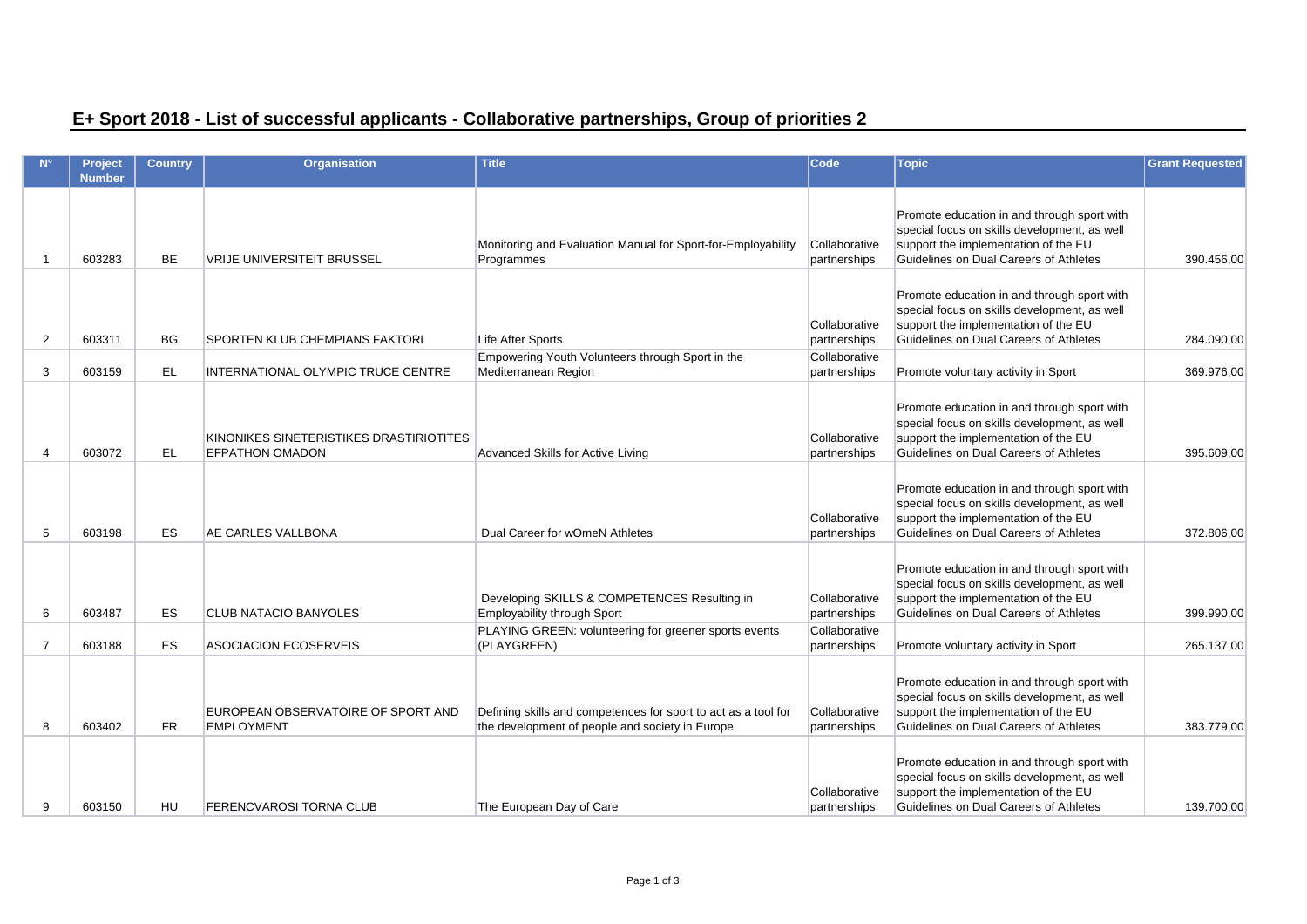## **E+ Sport 2018 - List of successful applicants - Collaborative partnerships, Group of priorities 2**

|                | Project<br><b>Number</b> | <b>Country</b> | <b>Organisation</b>                                               | <b>Title</b>                                                                                                      | Code                          | <b>Topic</b>                                                                                                                                                                  | <b>Grant Requested</b> |
|----------------|--------------------------|----------------|-------------------------------------------------------------------|-------------------------------------------------------------------------------------------------------------------|-------------------------------|-------------------------------------------------------------------------------------------------------------------------------------------------------------------------------|------------------------|
| 1              | 603283                   | <b>BE</b>      | <b>VRIJE UNIVERSITEIT BRUSSEL</b>                                 | Monitoring and Evaluation Manual for Sport-for-Employability<br>Programmes                                        | Collaborative<br>partnerships | Promote education in and through sport with<br>special focus on skills development, as well<br>support the implementation of the EU<br>Guidelines on Dual Careers of Athletes | 390.456,00             |
| 2              | 603311                   | <b>BG</b>      | SPORTEN KLUB CHEMPIANS FAKTORI                                    | Life After Sports                                                                                                 | Collaborative<br>partnerships | Promote education in and through sport with<br>special focus on skills development, as well<br>support the implementation of the EU<br>Guidelines on Dual Careers of Athletes | 284.090,00             |
| 3              | 603159                   | EL             | INTERNATIONAL OLYMPIC TRUCE CENTRE                                | Empowering Youth Volunteers through Sport in the<br>Mediterranean Region                                          | Collaborative<br>partnerships | Promote voluntary activity in Sport                                                                                                                                           | 369.976,00             |
| 4              | 603072                   | EL.            | KINONIKES SINETERISTIKES DRASTIRIOTITES<br><b>EFPATHON OMADON</b> | Advanced Skills for Active Living                                                                                 | Collaborative<br>partnerships | Promote education in and through sport with<br>special focus on skills development, as well<br>support the implementation of the EU<br>Guidelines on Dual Careers of Athletes | 395.609,00             |
| 5              | 603198                   | <b>ES</b>      | AE CARLES VALLBONA                                                | Dual Career for wOmeN Athletes                                                                                    | Collaborative<br>partnerships | Promote education in and through sport with<br>special focus on skills development, as well<br>support the implementation of the EU<br>Guidelines on Dual Careers of Athletes | 372.806,00             |
| 6              | 603487                   | ES             | <b>CLUB NATACIO BANYOLES</b>                                      | Developing SKILLS & COMPETENCES Resulting in<br>Employability through Sport                                       | Collaborative<br>partnerships | Promote education in and through sport with<br>special focus on skills development, as well<br>support the implementation of the EU<br>Guidelines on Dual Careers of Athletes | 399.990.00             |
| $\overline{7}$ | 603188                   | ES             | <b>ASOCIACION ECOSERVEIS</b>                                      | PLAYING GREEN: volunteering for greener sports events<br>(PLAYGREEN)                                              | Collaborative<br>partnerships | Promote voluntary activity in Sport                                                                                                                                           | 265.137,00             |
| 8              | 603402                   | <b>FR</b>      | EUROPEAN OBSERVATOIRE OF SPORT AND<br><b>EMPLOYMENT</b>           | Defining skills and competences for sport to act as a tool for<br>the development of people and society in Europe | Collaborative<br>partnerships | Promote education in and through sport with<br>special focus on skills development, as well<br>support the implementation of the EU<br>Guidelines on Dual Careers of Athletes | 383.779,00             |
| 9              | 603150                   | HU             | <b>FERENCVAROSI TORNA CLUB</b>                                    | The European Day of Care                                                                                          | Collaborative<br>partnerships | Promote education in and through sport with<br>special focus on skills development, as well<br>support the implementation of the EU<br>Guidelines on Dual Careers of Athletes | 139.700.00             |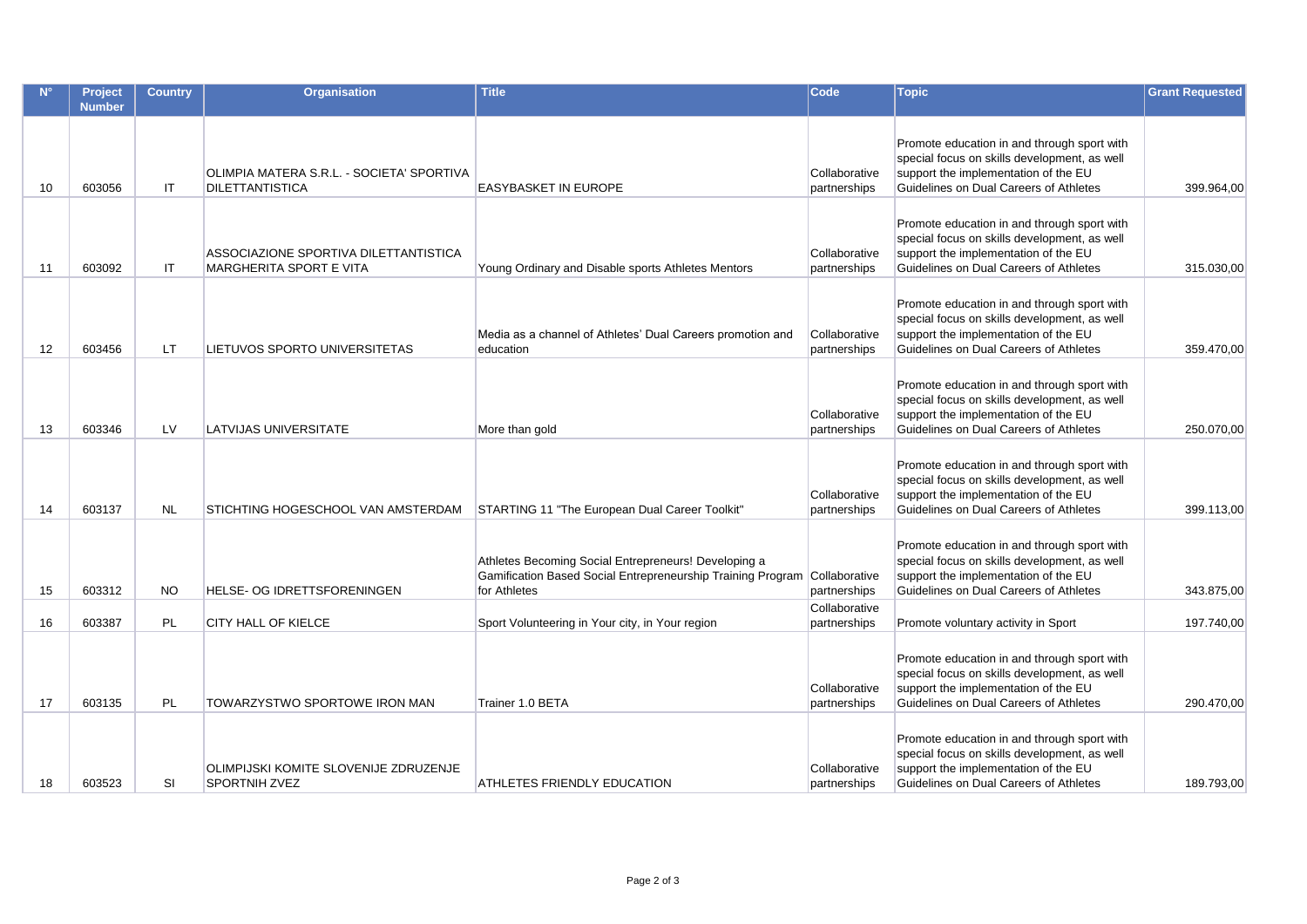|    | <b>Project</b><br><b>Number</b> | <b>Country</b> | <b>Organisation</b>                                                 | <b>Title</b>                                                                                                                        | Code                          | <b>Topic</b>                                                                                                                                                                  | <b>Grant Requested</b> |
|----|---------------------------------|----------------|---------------------------------------------------------------------|-------------------------------------------------------------------------------------------------------------------------------------|-------------------------------|-------------------------------------------------------------------------------------------------------------------------------------------------------------------------------|------------------------|
| 10 | 603056                          | IT             | OLIMPIA MATERA S.R.L. - SOCIETA' SPORTIVA<br><b>DILETTANTISTICA</b> | EASYBASKET IN EUROPE                                                                                                                | Collaborative<br>partnerships | Promote education in and through sport with<br>special focus on skills development, as well<br>support the implementation of the EU<br>Guidelines on Dual Careers of Athletes | 399.964,00             |
| 11 | 603092                          | IT             | ASSOCIAZIONE SPORTIVA DILETTANTISTICA<br>MARGHERITA SPORT E VITA    | Young Ordinary and Disable sports Athletes Mentors                                                                                  | Collaborative<br>partnerships | Promote education in and through sport with<br>special focus on skills development, as well<br>support the implementation of the EU<br>Guidelines on Dual Careers of Athletes | 315.030,00             |
| 12 | 603456                          | LT.            | LIETUVOS SPORTO UNIVERSITETAS                                       | Media as a channel of Athletes' Dual Careers promotion and<br>education                                                             | Collaborative<br>partnerships | Promote education in and through sport with<br>special focus on skills development, as well<br>support the implementation of the EU<br>Guidelines on Dual Careers of Athletes | 359.470,00             |
| 13 | 603346                          | LV             | LATVIJAS UNIVERSITATE                                               | More than gold                                                                                                                      | Collaborative<br>partnerships | Promote education in and through sport with<br>special focus on skills development, as well<br>support the implementation of the EU<br>Guidelines on Dual Careers of Athletes | 250.070,00             |
| 14 | 603137                          | <b>NL</b>      | STICHTING HOGESCHOOL VAN AMSTERDAM                                  | STARTING 11 "The European Dual Career Toolkit"                                                                                      | Collaborative<br>partnerships | Promote education in and through sport with<br>special focus on skills development, as well<br>support the implementation of the EU<br>Guidelines on Dual Careers of Athletes | 399.113,00             |
| 15 | 603312                          | NO.            | <b>HELSE- OG IDRETTSFORENINGEN</b>                                  | Athletes Becoming Social Entrepreneurs! Developing a<br>Gamification Based Social Entrepreneurship Training Program<br>for Athletes | Collaborative<br>partnerships | Promote education in and through sport with<br>special focus on skills development, as well<br>support the implementation of the EU<br>Guidelines on Dual Careers of Athletes | 343.875,00             |
| 16 | 603387                          | <b>PL</b>      | CITY HALL OF KIELCE                                                 | Sport Volunteering in Your city, in Your region                                                                                     | Collaborative<br>partnerships | Promote voluntary activity in Sport                                                                                                                                           | 197.740,00             |
| 17 | 603135                          | <b>PL</b>      | TOWARZYSTWO SPORTOWE IRON MAN                                       | Trainer 1.0 BETA                                                                                                                    | Collaborative<br>partnerships | Promote education in and through sport with<br>special focus on skills development, as well<br>support the implementation of the EU<br>Guidelines on Dual Careers of Athletes | 290.470,00             |
| 18 | 603523                          | SI             | OLIMPIJSKI KOMITE SLOVENIJE ZDRUZENJE<br><b>SPORTNIH ZVEZ</b>       | ATHLETES FRIENDLY EDUCATION                                                                                                         | Collaborative<br>partnerships | Promote education in and through sport with<br>special focus on skills development, as well<br>support the implementation of the EU<br>Guidelines on Dual Careers of Athletes | 189.793,00             |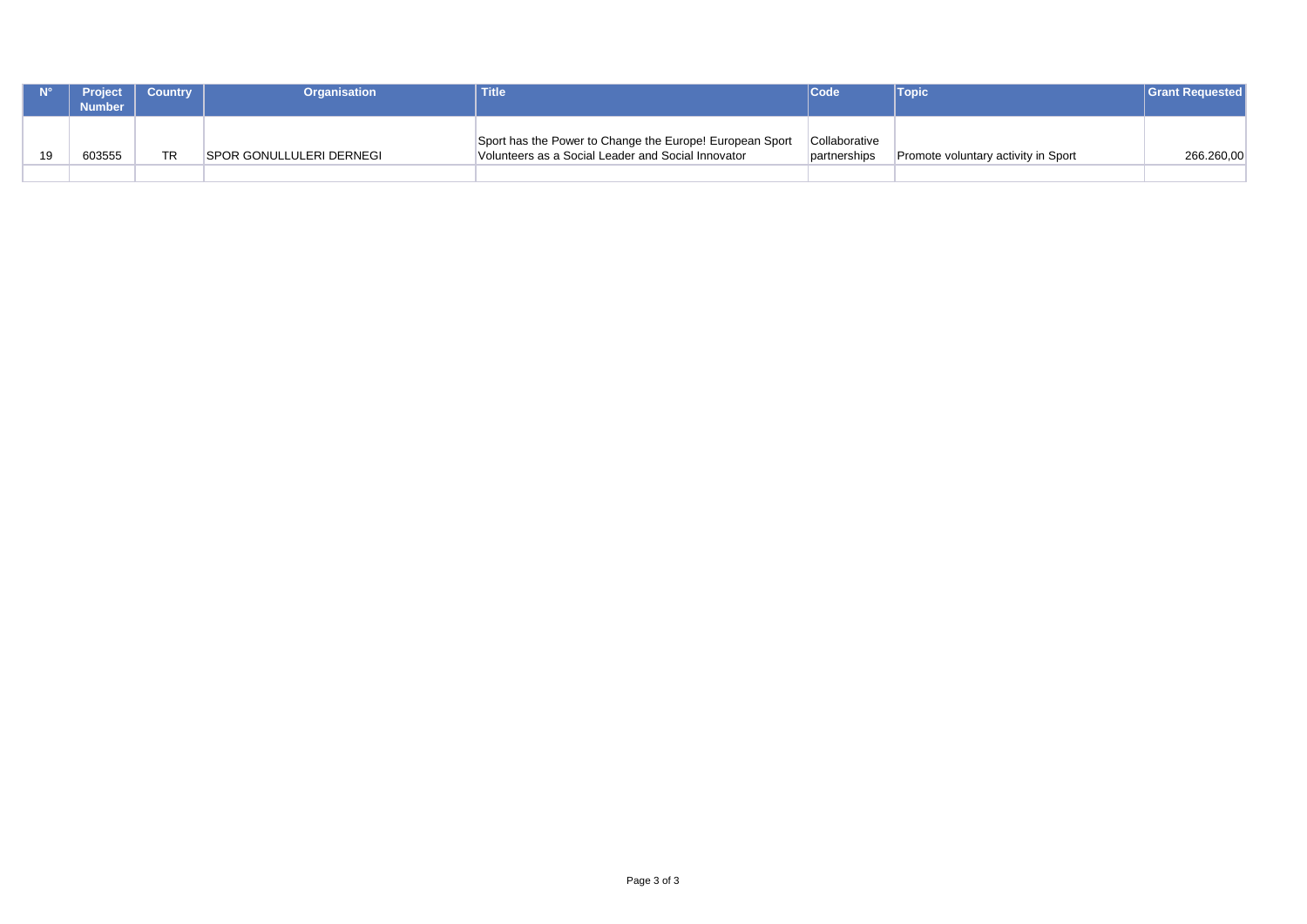| <b>Project</b><br>Number | <b>Country</b> | <b>Organisation</b>              | <b>Title</b>                                                                                                   | <b>Code</b>                   | <b>Topic</b>                        | <b>Grant Requested</b> |
|--------------------------|----------------|----------------------------------|----------------------------------------------------------------------------------------------------------------|-------------------------------|-------------------------------------|------------------------|
| 603555                   | ТR             | <b>ISPOR GONULLULERI DERNEGI</b> | Sport has the Power to Change the Europe! European Sport<br>Volunteers as a Social Leader and Social Innovator | Collaborative<br>partnerships | Promote voluntary activity in Sport | 266.260,00             |
|                          |                |                                  |                                                                                                                |                               |                                     |                        |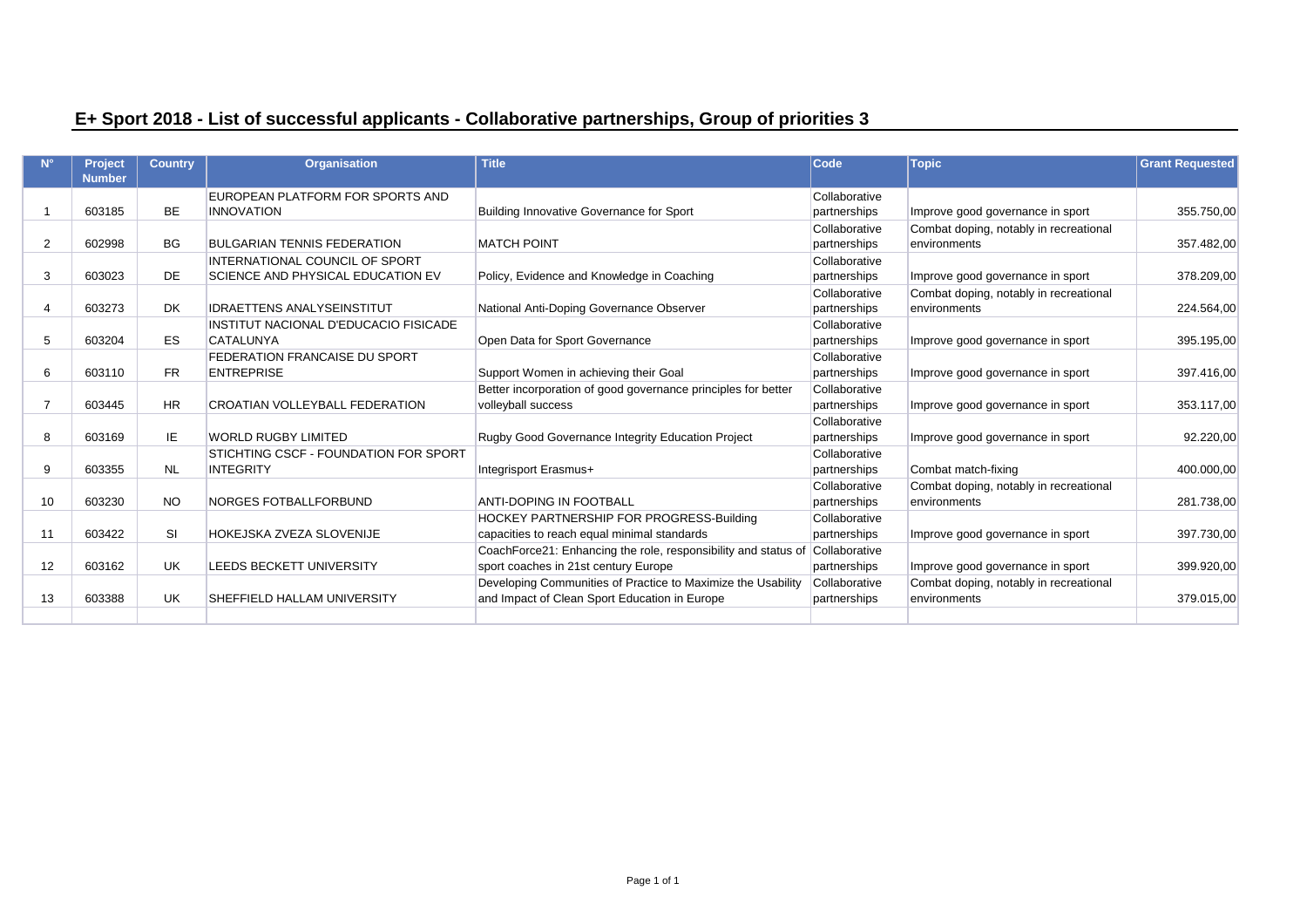## **E+ Sport 2018 - List of successful applicants - Collaborative partnerships, Group of priorities 3**

|                | <b>Project</b><br><b>Number</b> | <b>Country</b> | <b>Organisation</b>                                       | <b>Title</b>                                                                                                  | Code                          | <b>Topic</b>                                           | <b>Grant Requested</b> |
|----------------|---------------------------------|----------------|-----------------------------------------------------------|---------------------------------------------------------------------------------------------------------------|-------------------------------|--------------------------------------------------------|------------------------|
|                |                                 |                | EUROPEAN PLATFORM FOR SPORTS AND                          |                                                                                                               | Collaborative                 |                                                        |                        |
|                | 603185                          | <b>BE</b>      | <b>INNOVATION</b>                                         | Building Innovative Governance for Sport                                                                      | partnerships                  | Improve good governance in sport                       | 355.750,00             |
| 2              | 602998                          | BG.            | <b>BULGARIAN TENNIS FEDERATION</b>                        | <b>MATCH POINT</b>                                                                                            | Collaborative<br>partnerships | Combat doping, notably in recreational<br>environments | 357.482,00             |
|                |                                 |                | INTERNATIONAL COUNCIL OF SPORT                            |                                                                                                               | Collaborative                 |                                                        |                        |
| 3              | 603023                          | DE             | SCIENCE AND PHYSICAL EDUCATION EV                         | Policy, Evidence and Knowledge in Coaching                                                                    | partnerships                  | Improve good governance in sport                       | 378.209.00             |
| $\overline{4}$ | 603273                          | <b>DK</b>      | <b>IDRAETTENS ANALYSEINSTITUT</b>                         | National Anti-Doping Governance Observer                                                                      | Collaborative<br>partnerships | Combat doping, notably in recreational<br>environments | 224.564,00             |
|                |                                 |                | INSTITUT NACIONAL D'EDUCACIO FISICADE                     |                                                                                                               | Collaborative                 |                                                        |                        |
| 5              | 603204                          | <b>ES</b>      | <b>CATALUNYA</b>                                          | Open Data for Sport Governance                                                                                | partnerships                  | Improve good governance in sport                       | 395.195,00             |
| 6              | 603110                          | <b>FR</b>      | <b>FEDERATION FRANCAISE DU SPORT</b><br><b>ENTREPRISE</b> | Support Women in achieving their Goal                                                                         | Collaborative<br>partnerships | Improve good governance in sport                       | 397.416,00             |
| $\overline{7}$ | 603445                          | <b>HR</b>      | <b>CROATIAN VOLLEYBALL FEDERATION</b>                     | Better incorporation of good governance principles for better<br>volleyball success                           | Collaborative<br>partnerships | Improve good governance in sport                       | 353.117,00             |
|                |                                 |                |                                                           |                                                                                                               | Collaborative                 |                                                        |                        |
| 8              | 603169                          | IE.            | <b>WORLD RUGBY LIMITED</b>                                | <b>Rugby Good Governance Integrity Education Project</b>                                                      | partnerships                  | Improve good governance in sport                       | 92.220,00              |
|                |                                 |                | STICHTING CSCF - FOUNDATION FOR SPORT                     |                                                                                                               | Collaborative                 |                                                        |                        |
| 9              | 603355                          | <b>NL</b>      | <b>INTEGRITY</b>                                          | Integrisport Erasmus+                                                                                         | partnerships                  | Combat match-fixing                                    | 400.000,00             |
| 10             | 603230                          | <b>NO</b>      | <b>NORGES FOTBALLFORBUND</b>                              | <b>ANTI-DOPING IN FOOTBALL</b>                                                                                | Collaborative<br>partnerships | Combat doping, notably in recreational<br>environments | 281.738,00             |
| 11             | 603422                          | <b>SI</b>      | HOKEJSKA ZVEZA SLOVENIJE                                  | HOCKEY PARTNERSHIP FOR PROGRESS-Building<br>capacities to reach equal minimal standards                       | Collaborative<br>partnerships | Improve good governance in sport                       | 397.730,00             |
| 12             | 603162                          | UK.            | <b>LEEDS BECKETT UNIVERSITY</b>                           | CoachForce21: Enhancing the role, responsibility and status of<br>sport coaches in 21st century Europe        | Collaborative<br>partnerships | Improve good governance in sport                       | 399.920,00             |
| 13             | 603388                          | UK.            | SHEFFIELD HALLAM UNIVERSITY                               | Developing Communities of Practice to Maximize the Usability<br>and Impact of Clean Sport Education in Europe | Collaborative<br>partnerships | Combat doping, notably in recreational<br>environments | 379.015,00             |
|                |                                 |                |                                                           |                                                                                                               |                               |                                                        |                        |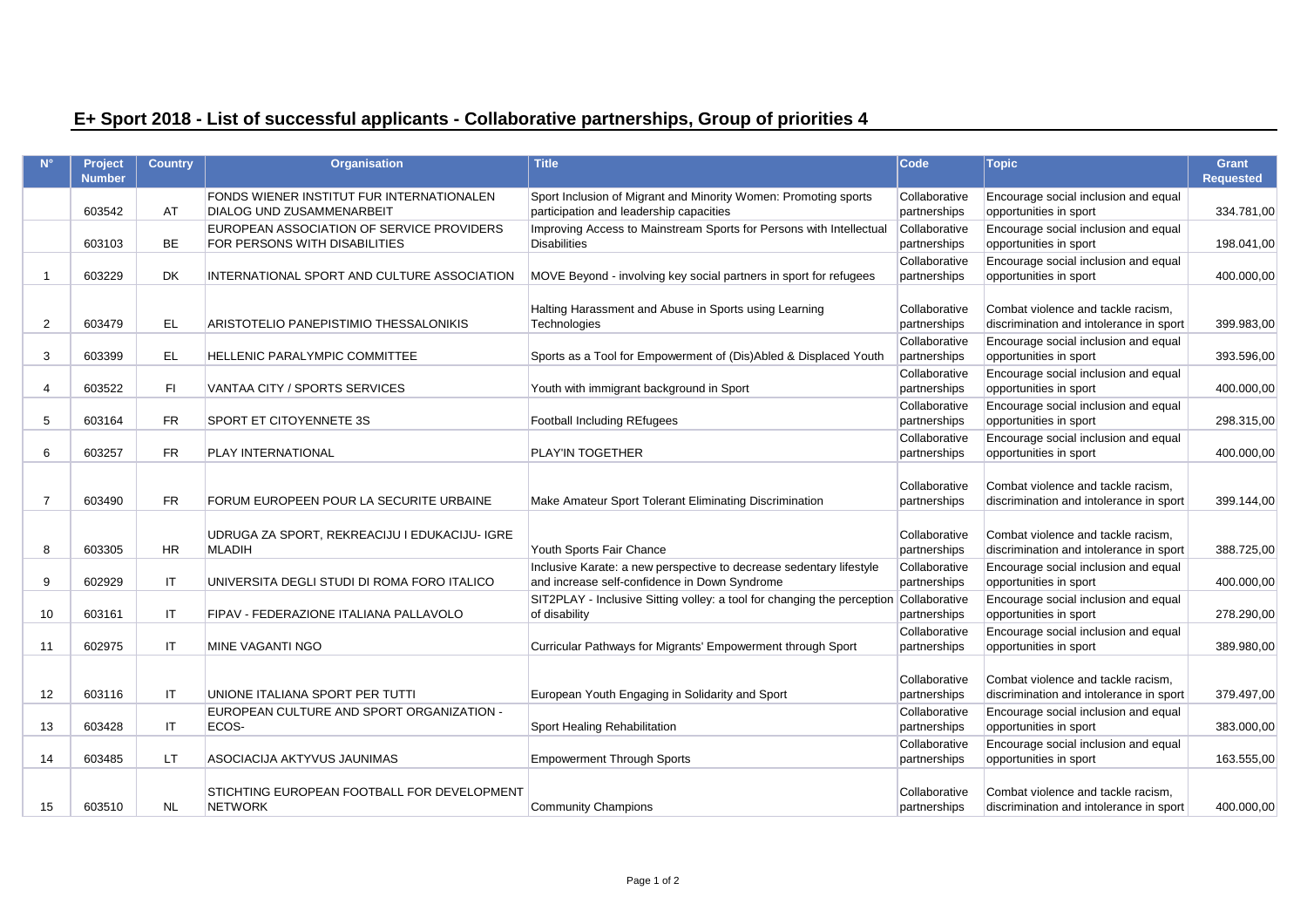# **E+ Sport 2018 - List of successful applicants - Collaborative partnerships, Group of priorities 4**

|                | <b>Project</b> | <b>Country</b> | <b>Organisation</b>                           | <b>Title</b>                                                            | <b>Code</b>                   | <b>Topic</b>                                                                  | <b>Grant</b>     |
|----------------|----------------|----------------|-----------------------------------------------|-------------------------------------------------------------------------|-------------------------------|-------------------------------------------------------------------------------|------------------|
|                | <b>Number</b>  |                |                                               |                                                                         |                               |                                                                               | <b>Requested</b> |
|                |                |                | FONDS WIENER INSTITUT FUR INTERNATIONALEN     | Sport Inclusion of Migrant and Minority Women: Promoting sports         | Collaborative                 | Encourage social inclusion and equal                                          |                  |
|                | 603542         | AT             | <b>DIALOG UND ZUSAMMENARBEIT</b>              | participation and leadership capacities                                 | partnerships                  | opportunities in sport                                                        | 334.781,00       |
|                |                |                | EUROPEAN ASSOCIATION OF SERVICE PROVIDERS     | Improving Access to Mainstream Sports for Persons with Intellectual     | Collaborative                 | Encourage social inclusion and equal                                          |                  |
|                | 603103         | <b>BE</b>      | FOR PERSONS WITH DISABILITIES                 | <b>Disabilities</b>                                                     | partnerships                  | opportunities in sport                                                        | 198.041,00       |
|                |                |                |                                               |                                                                         | Collaborative                 | Encourage social inclusion and equal                                          |                  |
| -1             | 603229         | DK             | INTERNATIONAL SPORT AND CULTURE ASSOCIATION   | MOVE Beyond - involving key social partners in sport for refugees       | partnerships                  | opportunities in sport                                                        | 400.000,00       |
|                |                |                |                                               |                                                                         |                               |                                                                               |                  |
|                |                |                |                                               | Halting Harassment and Abuse in Sports using Learning                   | Collaborative                 | Combat violence and tackle racism,                                            |                  |
| 2              | 603479         | <b>EL</b>      | ARISTOTELIO PANEPISTIMIO THESSALONIKIS        | <b>Technologies</b>                                                     | partnerships                  | discrimination and intolerance in sport                                       | 399.983,00       |
|                |                |                |                                               |                                                                         | Collaborative                 | Encourage social inclusion and equal                                          |                  |
| 3              | 603399         | <b>EL</b>      | HELLENIC PARALYMPIC COMMITTEE                 | Sports as a Tool for Empowerment of (Dis)Abled & Displaced Youth        | partnerships                  | opportunities in sport                                                        | 393.596,00       |
|                |                |                |                                               |                                                                         | Collaborative                 | Encourage social inclusion and equal                                          |                  |
| $\overline{4}$ | 603522         | F1             | VANTAA CITY / SPORTS SERVICES                 | Youth with immigrant background in Sport                                | partnerships                  | opportunities in sport                                                        | 400.000,00       |
|                |                |                |                                               |                                                                         | Collaborative                 | Encourage social inclusion and equal                                          |                  |
| 5              | 603164         | <b>FR</b>      | <b>SPORT ET CITOYENNETE 3S</b>                | <b>Football Including REfugees</b>                                      | partnerships                  | opportunities in sport                                                        | 298.315,00       |
|                |                |                |                                               |                                                                         | Collaborative                 | Encourage social inclusion and equal                                          |                  |
| 6              | 603257         | <b>FR</b>      | PLAY INTERNATIONAL                            | PLAY'IN TOGETHER                                                        | partnerships                  | opportunities in sport                                                        | 400.000,00       |
|                |                |                |                                               |                                                                         |                               |                                                                               |                  |
|                |                |                |                                               |                                                                         | Collaborative                 | Combat violence and tackle racism,                                            |                  |
| $\overline{7}$ | 603490         | <b>FR</b>      | FORUM EUROPEEN POUR LA SECURITE URBAINE       | Make Amateur Sport Tolerant Eliminating Discrimination                  | partnerships                  | discrimination and intolerance in sport                                       | 399.144,00       |
|                |                |                |                                               |                                                                         |                               |                                                                               |                  |
|                |                |                | UDRUGA ZA SPORT, REKREACIJU I EDUKACIJU- IGRE |                                                                         | Collaborative                 | Combat violence and tackle racism,                                            |                  |
| 8              | 603305         | <b>HR</b>      | <b>MLADIH</b>                                 | Youth Sports Fair Chance                                                | partnerships                  | discrimination and intolerance in sport                                       | 388.725,00       |
|                |                |                |                                               | Inclusive Karate: a new perspective to decrease sedentary lifestyle     | Collaborative                 | Encourage social inclusion and equal                                          |                  |
| 9              | 602929         | IT             | UNIVERSITA DEGLI STUDI DI ROMA FORO ITALICO   | and increase self-confidence in Down Syndrome                           | partnerships                  | opportunities in sport                                                        | 400.000,00       |
|                |                |                |                                               | SIT2PLAY - Inclusive Sitting volley: a tool for changing the perception | Collaborative                 | Encourage social inclusion and equal                                          |                  |
| 10             | 603161         | IT             | FIPAV - FEDERAZIONE ITALIANA PALLAVOLO        | of disability                                                           | partnerships                  | opportunities in sport                                                        | 278.290,00       |
| 11             | 602975         | IT             | MINE VAGANTI NGO                              | Curricular Pathways for Migrants' Empowerment through Sport             | Collaborative<br>partnerships | Encourage social inclusion and equal<br>opportunities in sport                | 389.980,00       |
|                |                |                |                                               |                                                                         |                               |                                                                               |                  |
|                |                |                |                                               |                                                                         |                               |                                                                               |                  |
| 12             | 603116         | IT             | UNIONE ITALIANA SPORT PER TUTTI               | European Youth Engaging in Solidarity and Sport                         | Collaborative<br>partnerships | Combat violence and tackle racism,<br>discrimination and intolerance in sport | 379.497,00       |
|                |                |                | EUROPEAN CULTURE AND SPORT ORGANIZATION -     |                                                                         | Collaborative                 | Encourage social inclusion and equal                                          |                  |
| 13             | 603428         | IT             | ECOS-                                         | Sport Healing Rehabilitation                                            | partnerships                  | opportunities in sport                                                        | 383.000,00       |
|                |                |                |                                               |                                                                         | Collaborative                 | Encourage social inclusion and equal                                          |                  |
| 14             | 603485         | LT.            | ASOCIACIJA AKTYVUS JAUNIMAS                   | <b>Empowerment Through Sports</b>                                       | partnerships                  | opportunities in sport                                                        | 163.555,00       |
|                |                |                |                                               |                                                                         |                               |                                                                               |                  |
|                |                |                | STICHTING EUROPEAN FOOTBALL FOR DEVELOPMENT   |                                                                         | Collaborative                 | Combat violence and tackle racism,                                            |                  |
| 15             | 603510         | <b>NL</b>      | <b>NETWORK</b>                                | <b>Community Champions</b>                                              | partnerships                  | discrimination and intolerance in sport                                       | 400.000,00       |
|                |                |                |                                               |                                                                         |                               |                                                                               |                  |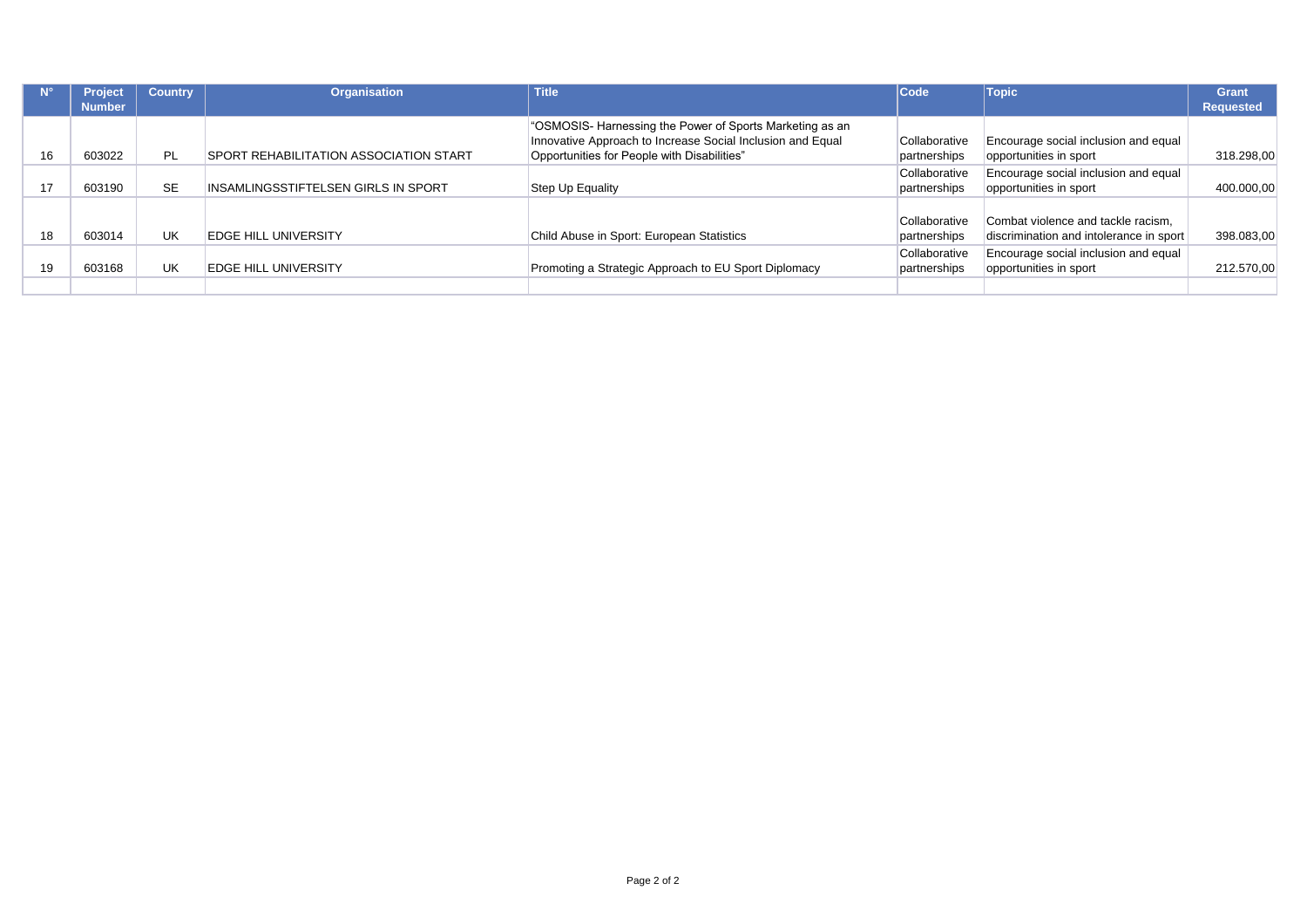|    | <b>Project</b> | <b>Country</b> | <b>Organisation</b>                           | <b>Title</b>                                                                                                                                                          | <b>Code</b>                   | <b>Topic</b>                                                                  | <b>Grant</b> |
|----|----------------|----------------|-----------------------------------------------|-----------------------------------------------------------------------------------------------------------------------------------------------------------------------|-------------------------------|-------------------------------------------------------------------------------|--------------|
|    | <b>Number</b>  |                |                                               |                                                                                                                                                                       |                               |                                                                               | Requested    |
| 16 | 603022         | <b>PL</b>      | <b>SPORT REHABILITATION ASSOCIATION START</b> | "OSMOSIS- Harnessing the Power of Sports Marketing as an<br>Innovative Approach to Increase Social Inclusion and Equal<br>Opportunities for People with Disabilities" | Collaborative<br>partnerships | Encourage social inclusion and equal<br>opportunities in sport                | 318.298,00   |
| 17 | 603190         | <b>SE</b>      | INSAMLINGSSTIFTELSEN GIRLS IN SPORT           | Step Up Equality                                                                                                                                                      | Collaborative<br>partnerships | Encourage social inclusion and equal<br>opportunities in sport                | 400.000,00   |
| 18 | 603014         | <b>UK</b>      | <b>EDGE HILL UNIVERSITY</b>                   | Child Abuse in Sport: European Statistics                                                                                                                             | Collaborative<br>partnerships | Combat violence and tackle racism.<br>discrimination and intolerance in sport | 398.083,00   |
|    | 603168         | <b>UK</b>      | <b>EDGE HILL UNIVERSITY</b>                   | Promoting a Strategic Approach to EU Sport Diplomacy                                                                                                                  | Collaborative<br>partnerships | Encourage social inclusion and equal<br>opportunities in sport                | 212.570,00   |